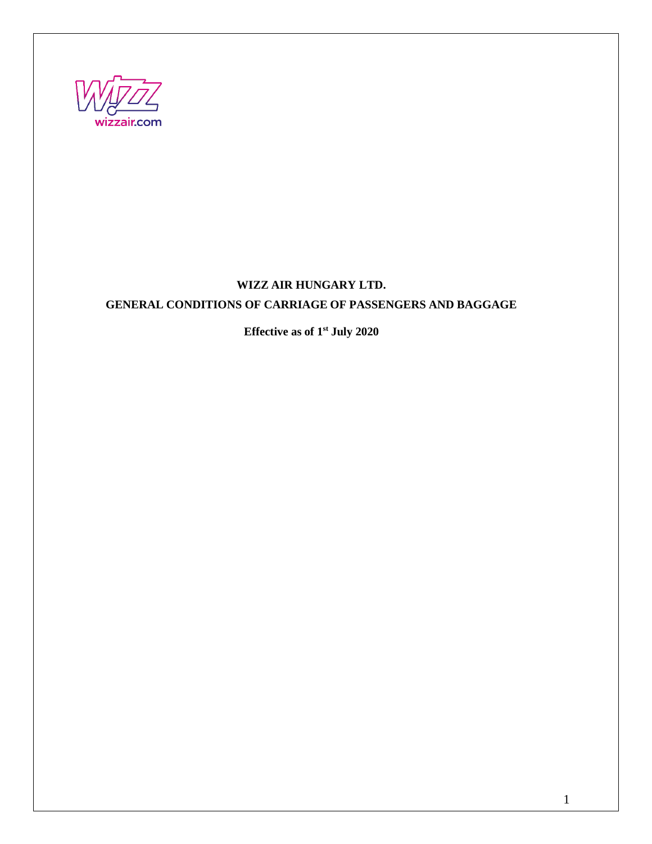

# **WIZZ AIR HUNGARY LTD. GENERAL CONDITIONS OF CARRIAGE OF PASSENGERS AND BAGGAGE**

**Effective as of 1st July 2020**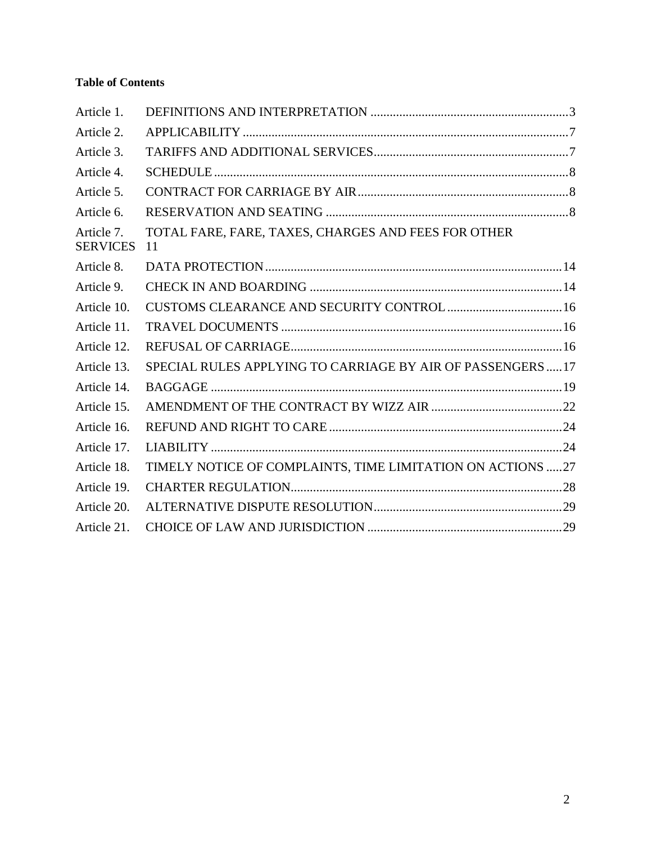# **Table of Contents**

| Article 1.                    |                                                             |  |
|-------------------------------|-------------------------------------------------------------|--|
| Article 2.                    |                                                             |  |
| Article 3.                    |                                                             |  |
| Article 4.                    |                                                             |  |
| Article 5.                    |                                                             |  |
| Article 6.                    |                                                             |  |
| Article 7.<br><b>SERVICES</b> | TOTAL FARE, FARE, TAXES, CHARGES AND FEES FOR OTHER<br>11   |  |
| Article 8.                    |                                                             |  |
| Article 9.                    |                                                             |  |
| Article 10.                   |                                                             |  |
| Article 11.                   |                                                             |  |
| Article 12.                   |                                                             |  |
| Article 13.                   | SPECIAL RULES APPLYING TO CARRIAGE BY AIR OF PASSENGERS  17 |  |
| Article 14.                   |                                                             |  |
| Article 15.                   |                                                             |  |
| Article 16.                   |                                                             |  |
| Article 17.                   |                                                             |  |
| Article 18.                   | TIMELY NOTICE OF COMPLAINTS, TIME LIMITATION ON ACTIONS 27  |  |
| Article 19.                   |                                                             |  |
| Article 20.                   |                                                             |  |
| Article 21.                   |                                                             |  |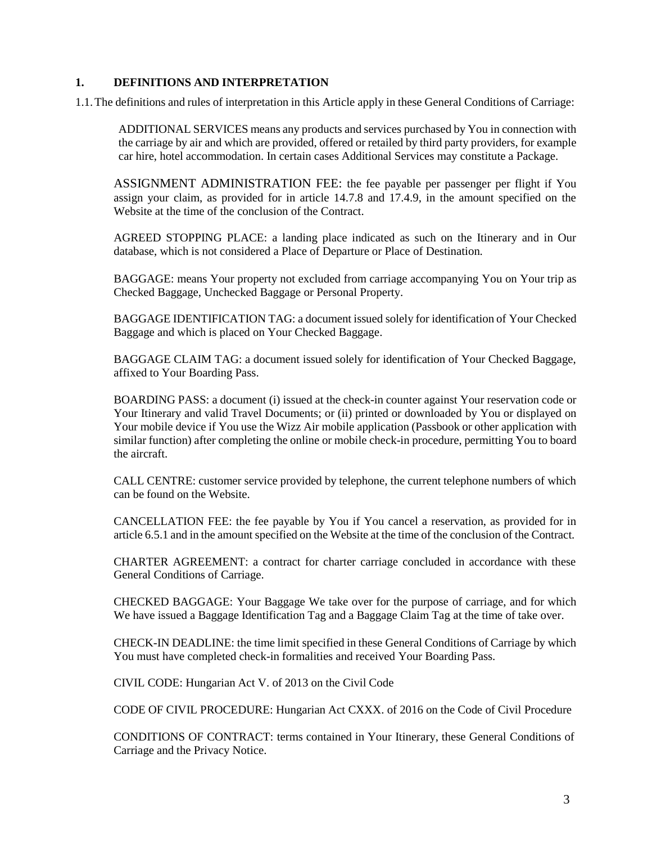### <span id="page-2-0"></span>**1. DEFINITIONS AND INTERPRETATION**

1.1.The definitions and rules of interpretation in this Article apply in these General Conditions of Carriage:

ADDITIONAL SERVICES means any products and services purchased by You in connection with the carriage by air and which are provided, offered or retailed by third party providers, for example car hire, hotel accommodation. In certain cases Additional Services may constitute a Package.

ASSIGNMENT ADMINISTRATION FEE: the fee payable per passenger per flight if You assign your claim, as provided for in article 14.7.8 and 17.4.9, in the amount specified on the Website at the time of the conclusion of the Contract.

AGREED STOPPING PLACE: a landing place indicated as such on the Itinerary and in Our database, which is not considered a Place of Departure or Place of Destination.

BAGGAGE: means Your property not excluded from carriage accompanying You on Your trip as Checked Baggage, Unchecked Baggage or Personal Property.

BAGGAGE IDENTIFICATION TAG: a document issued solely for identification of Your Checked Baggage and which is placed on Your Checked Baggage.

BAGGAGE CLAIM TAG: a document issued solely for identification of Your Checked Baggage, affixed to Your Boarding Pass.

BOARDING PASS: a document (i) issued at the check-in counter against Your reservation code or Your Itinerary and valid Travel Documents; or (ii) printed or downloaded by You or displayed on Your mobile device if You use the Wizz Air mobile application (Passbook or other application with similar function) after completing the online or mobile check-in procedure, permitting You to board the aircraft.

CALL CENTRE: customer service provided by telephone, the current telephone numbers of which can be found on the Website.

CANCELLATION FEE: the fee payable by You if You cancel a reservation, as provided for in article [6.5.1](#page-10-1) and in the amount specified on the Website at the time of the conclusion of the Contract.

CHARTER AGREEMENT: a contract for charter carriage concluded in accordance with these General Conditions of Carriage.

CHECKED BAGGAGE: Your Baggage We take over for the purpose of carriage, and for which We have issued a Baggage Identification Tag and a Baggage Claim Tag at the time of take over.

CHECK-IN DEADLINE: the time limit specified in these General Conditions of Carriage by which You must have completed check-in formalities and received Your Boarding Pass.

CIVIL CODE: Hungarian Act V. of 2013 on the Civil Code

CODE OF CIVIL PROCEDURE: Hungarian Act CXXX. of 2016 on the Code of Civil Procedure

CONDITIONS OF CONTRACT: terms contained in Your Itinerary, these General Conditions of Carriage and the Privacy Notice.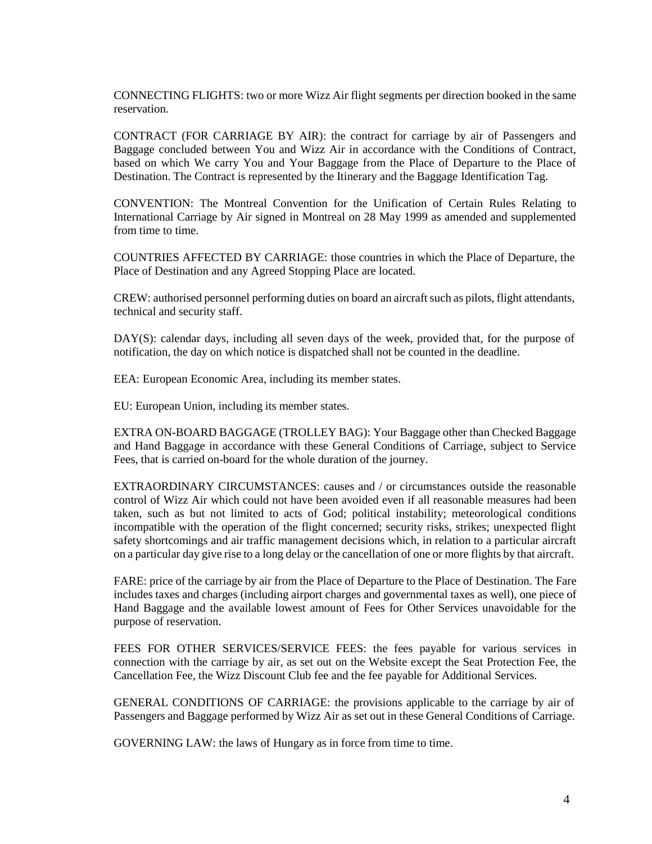CONNECTING FLIGHTS: two or more Wizz Air flight segments per direction booked in the same reservation.

CONTRACT (FOR CARRIAGE BY AIR): the contract for carriage by air of Passengers and Baggage concluded between You and Wizz Air in accordance with the Conditions of Contract, based on which We carry You and Your Baggage from the Place of Departure to the Place of Destination. The Contract is represented by the Itinerary and the Baggage Identification Tag.

CONVENTION: The Montreal Convention for the Unification of Certain Rules Relating to International Carriage by Air signed in Montreal on 28 May 1999 as amended and supplemented from time to time.

COUNTRIES AFFECTED BY CARRIAGE: those countries in which the Place of Departure, the Place of Destination and any Agreed Stopping Place are located.

CREW: authorised personnel performing duties on board an aircraft such as pilots, flight attendants, technical and security staff.

DAY(S): calendar days, including all seven days of the week, provided that, for the purpose of notification, the day on which notice is dispatched shall not be counted in the deadline.

EEA: European Economic Area, including its member states.

EU: European Union, including its member states.

EXTRA ON-BOARD BAGGAGE (TROLLEY BAG): Your Baggage other than Checked Baggage and Hand Baggage in accordance with these General Conditions of Carriage, subject to Service Fees, that is carried on-board for the whole duration of the journey.

EXTRAORDINARY CIRCUMSTANCES: causes and / or circumstances outside the reasonable control of Wizz Air which could not have been avoided even if all reasonable measures had been taken, such as but not limited to acts of God; political instability; meteorological conditions incompatible with the operation of the flight concerned; security risks, strikes; unexpected flight safety shortcomings and air traffic management decisions which, in relation to a particular aircraft on a particular day give rise to a long delay or the cancellation of one or more flights by that aircraft.

FARE: price of the carriage by air from the Place of Departure to the Place of Destination. The Fare includes taxes and charges (including airport charges and governmental taxes as well), one piece of Hand Baggage and the available lowest amount of Fees for Other Services unavoidable for the purpose of reservation.

FEES FOR OTHER SERVICES/SERVICE FEES: the fees payable for various services in connection with the carriage by air, as set out on the Website except the Seat Protection Fee, the Cancellation Fee, the Wizz Discount Club fee and the fee payable for Additional Services.

GENERAL CONDITIONS OF CARRIAGE: the provisions applicable to the carriage by air of Passengers and Baggage performed by Wizz Air as set out in these General Conditions of Carriage.

GOVERNING LAW: the laws of Hungary as in force from time to time.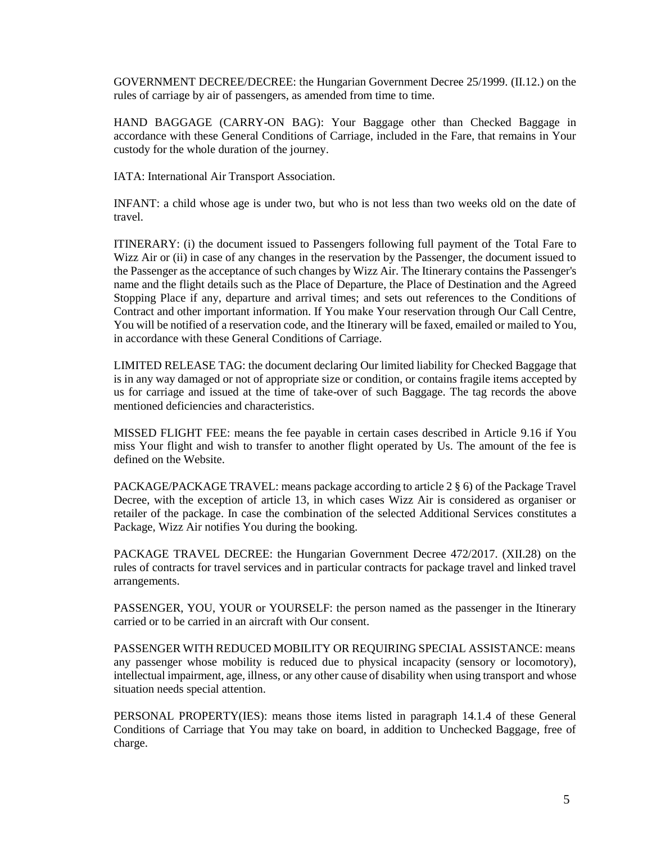GOVERNMENT DECREE/DECREE: the Hungarian Government Decree 25/1999. (II.12.) on the rules of carriage by air of passengers, as amended from time to time.

HAND BAGGAGE (CARRY-ON BAG): Your Baggage other than Checked Baggage in accordance with these General Conditions of Carriage, included in the Fare, that remains in Your custody for the whole duration of the journey.

IATA: International Air Transport Association.

INFANT: a child whose age is under two, but who is not less than two weeks old on the date of travel.

ITINERARY: (i) the document issued to Passengers following full payment of the Total Fare to Wizz Air or (ii) in case of any changes in the reservation by the Passenger, the document issued to the Passenger as the acceptance of such changes by Wizz Air. The Itinerary contains the Passenger's name and the flight details such as the Place of Departure, the Place of Destination and the Agreed Stopping Place if any, departure and arrival times; and sets out references to the Conditions of Contract and other important information. If You make Your reservation through Our Call Centre, You will be notified of a reservation code, and the Itinerary will be faxed, emailed or mailed to You, in accordance with these General Conditions of Carriage.

LIMITED RELEASE TAG: the document declaring Our limited liability for Checked Baggage that is in any way damaged or not of appropriate size or condition, or contains fragile items accepted by us for carriage and issued at the time of take-over of such Baggage. The tag records the above mentioned deficiencies and characteristics.

MISSED FLIGHT FEE: means the fee payable in certain cases described in Article [9.16 i](#page-14-0)f You miss Your flight and wish to transfer to another flight operated by Us. The amount of the fee is defined on the Website.

PACKAGE/PACKAGE TRAVEL: means package according to article 2 § 6) of the Package Travel Decree, with the exception of article 13, in which cases Wizz Air is considered as organiser or retailer of the package. In case the combination of the selected Additional Services constitutes a Package, Wizz Air notifies You during the booking.

PACKAGE TRAVEL DECREE: the Hungarian Government Decree 472/2017. (XII.28) on the rules of contracts for travel services and in particular contracts for package travel and linked travel arrangements.

PASSENGER, YOU, YOUR or YOURSELF: the person named as the passenger in the Itinerary carried or to be carried in an aircraft with Our consent.

PASSENGER WITH REDUCED MOBILITY OR REQUIRING SPECIAL ASSISTANCE: means any passenger whose mobility is reduced due to physical incapacity (sensory or locomotory), intellectual impairment, age, illness, or any other cause of disability when using transport and whose situation needs special attention.

PERSONAL PROPERTY(IES): means those items listed in paragraph 14.1.4 of these General Conditions of Carriage that You may take on board, in addition to Unchecked Baggage, free of charge.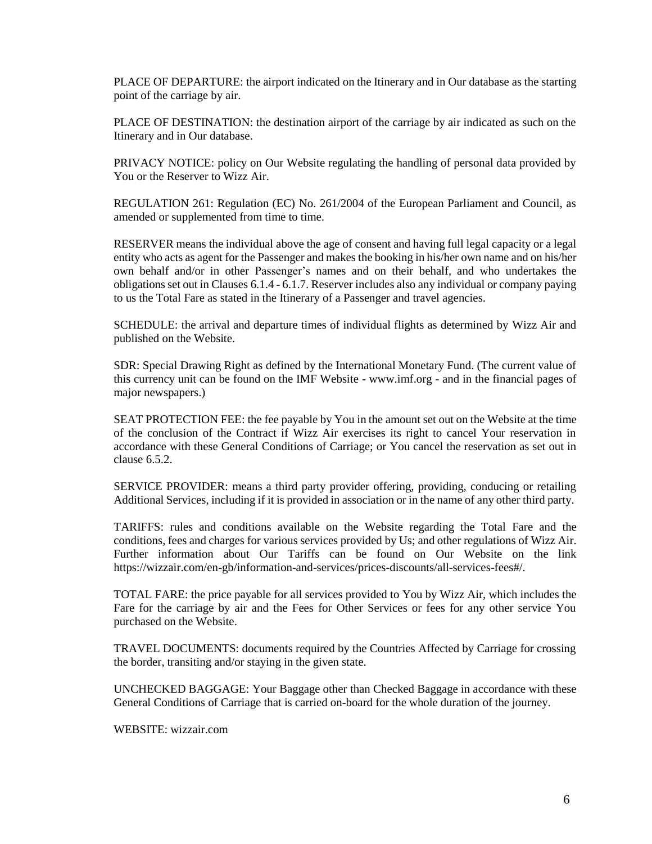PLACE OF DEPARTURE: the airport indicated on the Itinerary and in Our database as the starting point of the carriage by air.

PLACE OF DESTINATION: the destination airport of the carriage by air indicated as such on the Itinerary and in Our database.

PRIVACY NOTICE: policy on Our Website regulating the handling of personal data provided by You or the Reserver to Wizz Air.

REGULATION 261: Regulation (EC) No. 261/2004 of the European Parliament and Council, as amended or supplemented from time to time.

RESERVER means the individual above the age of consent and having full legal capacity or a legal entity who acts as agent for the Passenger and makes the booking in his/her own name and on his/her own behalf and/or in other Passenger's names and on their behalf, and who undertakes the obligations set out in Clauses [6.1.4](#page-7-3) - [6.1.7.](#page-8-0) Reserver includes also any individual or company paying to us the Total Fare as stated in the Itinerary of a Passenger and travel agencies.

SCHEDULE: the arrival and departure times of individual flights as determined by Wizz Air and published on the Website.

SDR: Special Drawing Right as defined by the International Monetary Fund. (The current value of this currency unit can be found on the IMF Website - [www.imf.org -](http://www.imf.org/) and in the financial pages of major newspapers.)

SEAT PROTECTION FEE: the fee payable by You in the amount set out on the Website at the time of the conclusion of the Contract if Wizz Air exercises its right to cancel Your reservation in accordance with these General Conditions of Carriage; or You cancel the reservation as set out in clause [6.5.2.](#page-10-2)

SERVICE PROVIDER: means a third party provider offering, providing, conducing or retailing Additional Services, including if it is provided in association or in the name of any other third party.

TARIFFS: rules and conditions available on the Website regarding the Total Fare and the conditions, fees and charges for various services provided by Us; and other regulations of Wizz Air. Further information about Our Tariffs can be found on Our Website on the link https://wizzair.com/en-gb/information-and-services/prices-discounts/all-services-fees#/.

TOTAL FARE: the price payable for all services provided to You by Wizz Air, which includes the Fare for the carriage by air and the Fees for Other Services or fees for any other service You purchased on the Website.

TRAVEL DOCUMENTS: documents required by the Countries Affected by Carriage for crossing the border, transiting and/or staying in the given state.

UNCHECKED BAGGAGE: Your Baggage other than Checked Baggage in accordance with these General Conditions of Carriage that is carried on-board for the whole duration of the journey.

WEBSITE: wizzair.com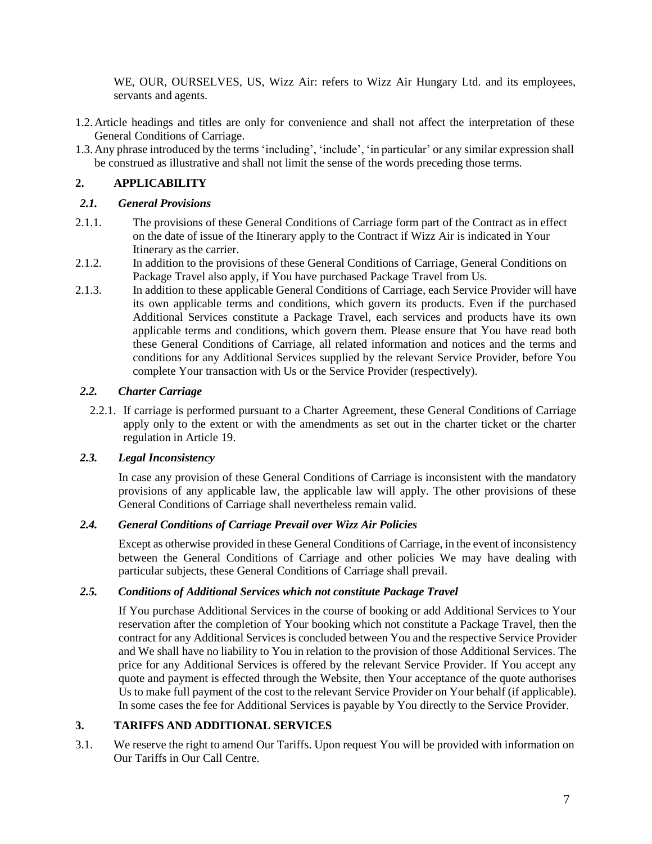WE, OUR, OURSELVES, US, Wizz Air: refers to Wizz Air Hungary Ltd. and its employees, servants and agents.

- 1.2.Article headings and titles are only for convenience and shall not affect the interpretation of these General Conditions of Carriage.
- 1.3.Any phrase introduced by the terms 'including', 'include', 'in particular' or any similar expression shall be construed as illustrative and shall not limit the sense of the words preceding those terms.

### <span id="page-6-0"></span>**2. APPLICABILITY**

### *2.1. General Provisions*

- 2.1.1. The provisions of these General Conditions of Carriage form part of the Contract as in effect on the date of issue of the Itinerary apply to the Contract if Wizz Air is indicated in Your Itinerary as the carrier.
- 2.1.2. In addition to the provisions of these General Conditions of Carriage, General Conditions on Package Travel also apply, if You have purchased Package Travel from Us.
- 2.1.3. In addition to these applicable General Conditions of Carriage, each Service Provider will have its own applicable terms and conditions, which govern its products. Even if the purchased Additional Services constitute a Package Travel, each services and products have its own applicable terms and conditions, which govern them. Please ensure that You have read both these General Conditions of Carriage, all related information and notices and the terms and conditions for any Additional Services supplied by the relevant Service Provider, before You complete Your transaction with Us or the Service Provider (respectively).

### *2.2. Charter Carriage*

2.2.1. If carriage is performed pursuant to a Charter Agreement, these General Conditions of Carriage apply only to the extent or with the amendments as set out in the charter ticket or the charter regulation in Article [19.](#page-27-0)

### *2.3. Legal Inconsistency*

In case any provision of these General Conditions of Carriage is inconsistent with the mandatory provisions of any applicable law, the applicable law will apply. The other provisions of these General Conditions of Carriage shall nevertheless remain valid.

### *2.4. General Conditions of Carriage Prevail over Wizz Air Policies*

Except as otherwise provided in these General Conditions of Carriage, in the event of inconsistency between the General Conditions of Carriage and other policies We may have dealing with particular subjects, these General Conditions of Carriage shall prevail.

### *2.5. Conditions of Additional Services which not constitute Package Travel*

If You purchase Additional Services in the course of booking or add Additional Services to Your reservation after the completion of Your booking which not constitute a Package Travel, then the contract for any Additional Servicesis concluded between You and the respective Service Provider and We shall have no liability to You in relation to the provision of those Additional Services. The price for any Additional Services is offered by the relevant Service Provider. If You accept any quote and payment is effected through the Website, then Your acceptance of the quote authorises Us to make full payment of the cost to the relevant Service Provider on Your behalf (if applicable). In some cases the fee for Additional Services is payable by You directly to the Service Provider.

### <span id="page-6-1"></span>**3. TARIFFS AND ADDITIONAL SERVICES**

3.1. We reserve the right to amend Our Tariffs. Upon request You will be provided with information on Our Tariffs in Our Call Centre.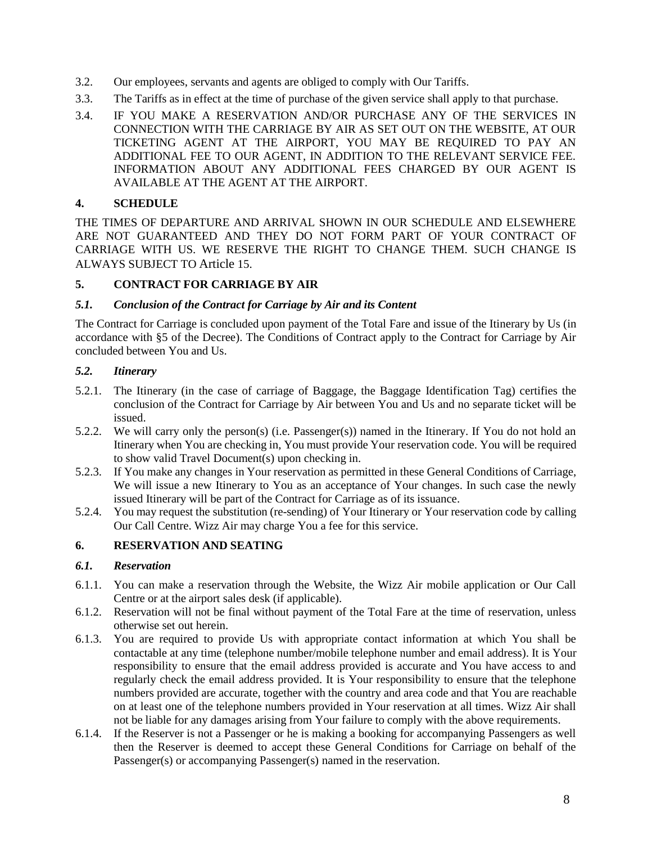- 3.2. Our employees, servants and agents are obliged to comply with Our Tariffs.
- 3.3. The Tariffs as in effect at the time of purchase of the given service shall apply to that purchase.
- <span id="page-7-4"></span>3.4. IF YOU MAKE A RESERVATION AND/OR PURCHASE ANY OF THE SERVICES IN CONNECTION WITH THE CARRIAGE BY AIR AS SET OUT ON THE WEBSITE, AT OUR TICKETING AGENT AT THE AIRPORT, YOU MAY BE REQUIRED TO PAY AN ADDITIONAL FEE TO OUR AGENT, IN ADDITION TO THE RELEVANT SERVICE FEE. INFORMATION ABOUT ANY ADDITIONAL FEES CHARGED BY OUR AGENT IS AVAILABLE AT THE AGENT AT THE AIRPORT.

### <span id="page-7-0"></span>**4. SCHEDULE**

THE TIMES OF DEPARTURE AND ARRIVAL SHOWN IN OUR SCHEDULE AND ELSEWHERE ARE NOT GUARANTEED AND THEY DO NOT FORM PART OF YOUR CONTRACT OF CARRIAGE WITH US. WE RESERVE THE RIGHT TO CHANGE THEM. SUCH CHANGE IS ALWAYS SUBJECT TO Article [15.](#page-21-0)

### <span id="page-7-1"></span>**5. CONTRACT FOR CARRIAGE BY AIR**

### *5.1. Conclusion of the Contract for Carriage by Air and its Content*

The Contract for Carriage is concluded upon payment of the Total Fare and issue of the Itinerary by Us (in accordance with §5 of the Decree). The Conditions of Contract apply to the Contract for Carriage by Air concluded between You and Us.

### *5.2. Itinerary*

- 5.2.1. The Itinerary (in the case of carriage of Baggage, the Baggage Identification Tag) certifies the conclusion of the Contract for Carriage by Air between You and Us and no separate ticket will be issued.
- 5.2.2. We will carry only the person(s) (i.e. Passenger(s)) named in the Itinerary. If You do not hold an Itinerary when You are checking in, You must provide Your reservation code. You will be required to show valid Travel Document(s) upon checking in.
- 5.2.3. If You make any changes in Your reservation as permitted in these General Conditions of Carriage, We will issue a new Itinerary to You as an acceptance of Your changes. In such case the newly issued Itinerary will be part of the Contract for Carriage as of its issuance.
- 5.2.4. You may request the substitution (re-sending) of Your Itinerary or Your reservation code by calling Our Call Centre. Wizz Air may charge You a fee for this service.

### <span id="page-7-2"></span>**6. RESERVATION AND SEATING**

### *6.1. Reservation*

- 6.1.1. You can make a reservation through the Website, the Wizz Air mobile application or Our Call Centre or at the airport sales desk (if applicable).
- 6.1.2. Reservation will not be final without payment of the Total Fare at the time of reservation, unless otherwise set out herein.
- 6.1.3. You are required to provide Us with appropriate contact information at which You shall be contactable at any time (telephone number/mobile telephone number and email address). It is Your responsibility to ensure that the email address provided is accurate and You have access to and regularly check the email address provided. It is Your responsibility to ensure that the telephone numbers provided are accurate, together with the country and area code and that You are reachable on at least one of the telephone numbers provided in Your reservation at all times. Wizz Air shall not be liable for any damages arising from Your failure to comply with the above requirements.
- <span id="page-7-3"></span>6.1.4. If the Reserver is not a Passenger or he is making a booking for accompanying Passengers as well then the Reserver is deemed to accept these General Conditions for Carriage on behalf of the Passenger(s) or accompanying Passenger(s) named in the reservation.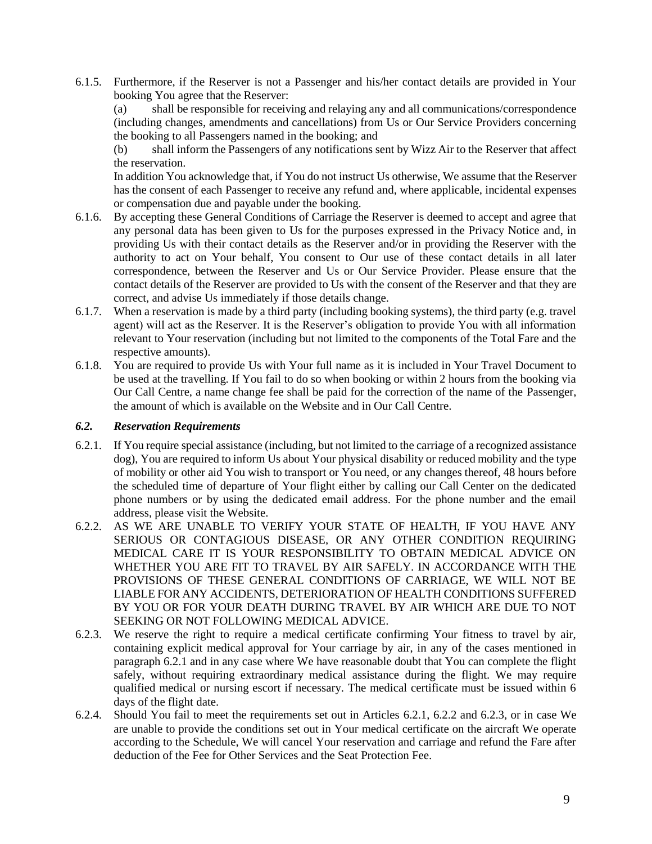6.1.5. Furthermore, if the Reserver is not a Passenger and his/her contact details are provided in Your booking You agree that the Reserver:

(a) shall be responsible for receiving and relaying any and all communications/correspondence (including changes, amendments and cancellations) from Us or Our Service Providers concerning the booking to all Passengers named in the booking; and

(b) shall inform the Passengers of any notifications sent by Wizz Air to the Reserver that affect the reservation.

In addition You acknowledge that, if You do not instruct Us otherwise, We assume that the Reserver has the consent of each Passenger to receive any refund and, where applicable, incidental expenses or compensation due and payable under the booking.

- 6.1.6. By accepting these General Conditions of Carriage the Reserver is deemed to accept and agree that any personal data has been given to Us for the purposes expressed in the Privacy Notice and, in providing Us with their contact details as the Reserver and/or in providing the Reserver with the authority to act on Your behalf, You consent to Our use of these contact details in all later correspondence, between the Reserver and Us or Our Service Provider. Please ensure that the contact details of the Reserver are provided to Us with the consent of the Reserver and that they are correct, and advise Us immediately if those details change.
- <span id="page-8-0"></span>6.1.7. When a reservation is made by a third party (including booking systems), the third party (e.g. travel agent) will act as the Reserver. It is the Reserver's obligation to provide You with all information relevant to Your reservation (including but not limited to the components of the Total Fare and the respective amounts).
- 6.1.8. You are required to provide Us with Your full name as it is included in Your Travel Document to be used at the travelling. If You fail to do so when booking or within 2 hours from the booking via Our Call Centre, a name change fee shall be paid for the correction of the name of the Passenger, the amount of which is available on the Website and in Our Call Centre.

### <span id="page-8-3"></span>*6.2. Reservation Requirements*

- <span id="page-8-1"></span>6.2.1. If You require special assistance (including, but not limited to the carriage of a recognized assistance dog), You are required to inform Us about Your physical disability or reduced mobility and the type of mobility or other aid You wish to transport or You need, or any changes thereof, 48 hours before the scheduled time of departure of Your flight either by calling our Call Center on the dedicated phone numbers or by using the dedicated email address. For the phone number and the email address, please visit the Website.
- 6.2.2. AS WE ARE UNABLE TO VERIFY YOUR STATE OF HEALTH, IF YOU HAVE ANY SERIOUS OR CONTAGIOUS DISEASE, OR ANY OTHER CONDITION REQUIRING MEDICAL CARE IT IS YOUR RESPONSIBILITY TO OBTAIN MEDICAL ADVICE ON WHETHER YOU ARE FIT TO TRAVEL BY AIR SAFELY. IN ACCORDANCE WITH THE PROVISIONS OF THESE GENERAL CONDITIONS OF CARRIAGE, WE WILL NOT BE LIABLE FOR ANY ACCIDENTS, DETERIORATION OF HEALTH CONDITIONS SUFFERED BY YOU OR FOR YOUR DEATH DURING TRAVEL BY AIR WHICH ARE DUE TO NOT SEEKING OR NOT FOLLOWING MEDICAL ADVICE.
- <span id="page-8-2"></span>6.2.3. We reserve the right to require a medical certificate confirming Your fitness to travel by air, containing explicit medical approval for Your carriage by air, in any of the cases mentioned in paragraph 6.2.1 and in any case where We have reasonable doubt that You can complete the flight safely, without requiring extraordinary medical assistance during the flight. We may require qualified medical or nursing escort if necessary. The medical certificate must be issued within 6 days of the flight date.
- 6.2.4. Should You fail to meet the requirements set out in Articles [6.2.1, 6.2.2 a](#page-8-1)nd [6.2.3, o](#page-8-2)r in case We are unable to provide the conditions set out in Your medical certificate on the aircraft We operate according to the Schedule, We will cancel Your reservation and carriage and refund the Fare after deduction of the Fee for Other Services and the Seat Protection Fee.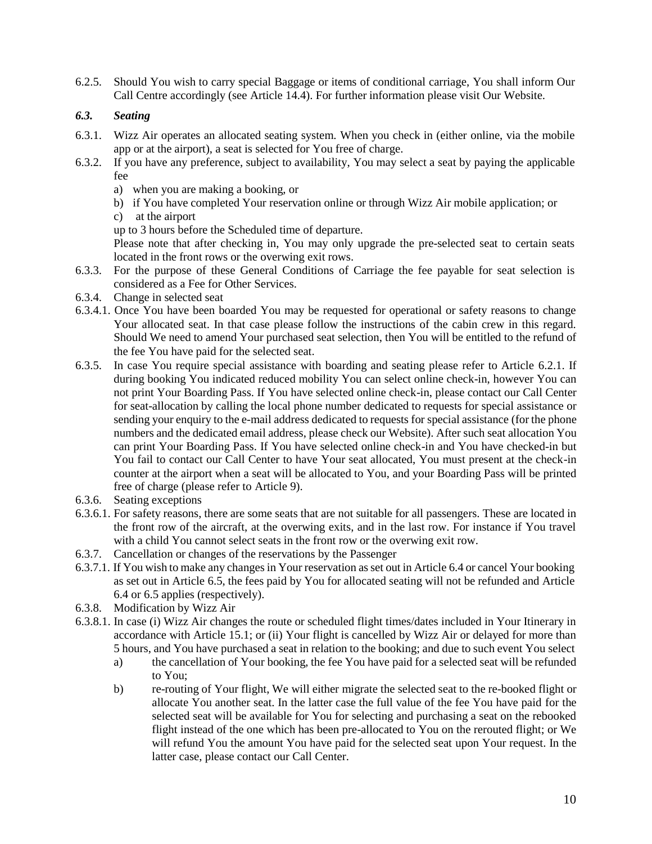<span id="page-9-0"></span>6.2.5. Should You wish to carry special Baggage or items of conditional carriage, You shall inform Our Call Centre accordingly (see Article [14.4\)](#page-20-0). For further information please visit Our Website.

# <span id="page-9-1"></span>*6.3. Seating*

- 6.3.1. Wizz Air operates an allocated seating system. When you check in (either online, via the mobile app or at the airport), a seat is selected for You free of charge.
- 6.3.2. If you have any preference, subject to availability, You may select a seat by paying the applicable fee
	- a) when you are making a booking, or
	- b) if You have completed Your reservation online or through Wizz Air mobile application; or
	- c) at the airport

up to 3 hours before the Scheduled time of departure.

Please note that after checking in, You may only upgrade the pre-selected seat to certain seats located in the front rows or the overwing exit rows.

- 6.3.3. For the purpose of these General Conditions of Carriage the fee payable for seat selection is considered as a Fee for Other Services.
- 6.3.4. Change in selected seat
- 6.3.4.1. Once You have been boarded You may be requested for operational or safety reasons to change Your allocated seat. In that case please follow the instructions of the cabin crew in this regard. Should We need to amend Your purchased seat selection, then You will be entitled to the refund of the fee You have paid for the selected seat.
- 6.3.5. In case You require special assistance with boarding and seating please refer to Article [6.2.1. I](#page-8-1)f during booking You indicated reduced mobility You can select online check-in, however You can not print Your Boarding Pass. If You have selected online check-in, please contact our Call Center for seat-allocation by calling the local phone number dedicated to requests for special assistance or sending your enquiry to the e-mail address dedicated to requests for special assistance (for the phone numbers and the dedicated email address, please check our Website). After such seat allocation You can print Your Boarding Pass. If You have selected online check-in and You have checked-in but You fail to contact our Call Center to have Your seat allocated, You must present at the check-in counter at the airport when a seat will be allocated to You, and your Boarding Pass will be printed free of charge (please refer to Article [9\)](#page-13-1).
- 6.3.6. Seating exceptions
- 6.3.6.1. For safety reasons, there are some seats that are not suitable for all passengers. These are located in the front row of the aircraft, at the overwing exits, and in the last row. For instance if You travel with a child You cannot select seats in the front row or the overwing exit row.
- 6.3.7. Cancellation or changes of the reservations by the Passenger
- 6.3.7.1. If You wish to make any changesin Your reservation asset out in Article [6.4](#page-10-3) or cancel Your booking as set out in Article [6.5,](#page-10-4) the fees paid by You for allocated seating will not be refunded and Article [6.4](#page-10-3) or [6.5](#page-10-4) applies (respectively).
- 6.3.8. Modification by Wizz Air
- 6.3.8.1. In case (i) Wizz Air changes the route or scheduled flight times/dates included in Your Itinerary in accordance with Article [15.1;](#page-21-1) or (ii) Your flight is cancelled by Wizz Air or delayed for more than 5 hours, and You have purchased a seat in relation to the booking; and due to such event You select
	- a) the cancellation of Your booking, the fee You have paid for a selected seat will be refunded to You;
	- b) re-routing of Your flight, We will either migrate the selected seat to the re-booked flight or allocate You another seat. In the latter case the full value of the fee You have paid for the selected seat will be available for You for selecting and purchasing a seat on the rebooked flight instead of the one which has been pre-allocated to You on the rerouted flight; or We will refund You the amount You have paid for the selected seat upon Your request. In the latter case, please contact our Call Center.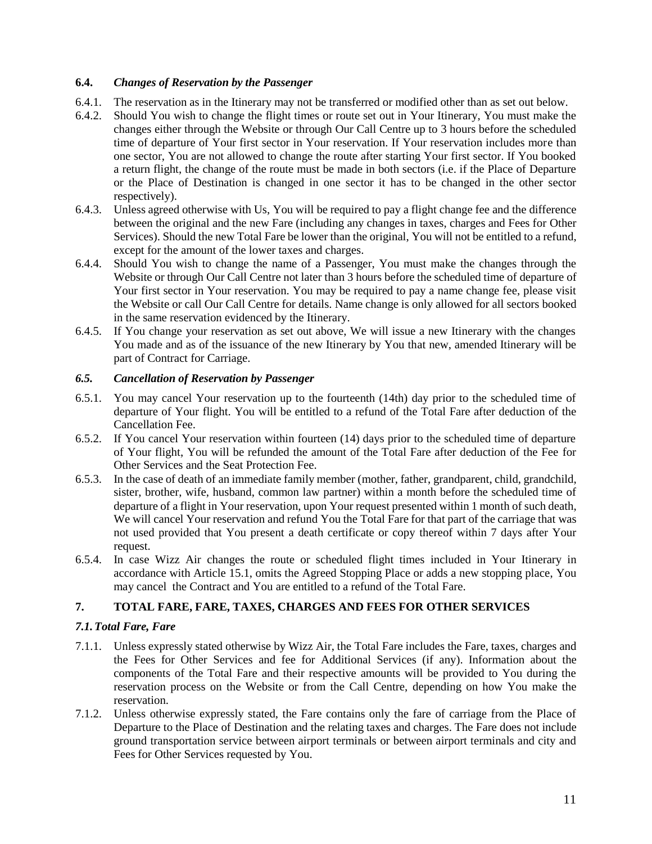# <span id="page-10-3"></span>**6.4.** *Changes of Reservation by the Passenger*

- 6.4.1. The reservation as in the Itinerary may not be transferred or modified other than as set out below.
- 6.4.2. Should You wish to change the flight times or route set out in Your Itinerary, You must make the changes either through the Website or through Our Call Centre up to 3 hours before the scheduled time of departure of Your first sector in Your reservation. If Your reservation includes more than one sector, You are not allowed to change the route after starting Your first sector. If You booked a return flight, the change of the route must be made in both sectors (i.e. if the Place of Departure or the Place of Destination is changed in one sector it has to be changed in the other sector respectively).
- 6.4.3. Unless agreed otherwise with Us, You will be required to pay a flight change fee and the difference between the original and the new Fare (including any changes in taxes, charges and Fees for Other Services). Should the new Total Fare be lower than the original, You will not be entitled to a refund, except for the amount of the lower taxes and charges.
- 6.4.4. Should You wish to change the name of a Passenger, You must make the changes through the Website or through Our Call Centre not later than 3 hours before the scheduled time of departure of Your first sector in Your reservation. You may be required to pay a name change fee, please visit the Website or call Our Call Centre for details. Name change is only allowed for all sectors booked in the same reservation evidenced by the Itinerary.
- 6.4.5. If You change your reservation as set out above, We will issue a new Itinerary with the changes You made and as of the issuance of the new Itinerary by You that new, amended Itinerary will be part of Contract for Carriage.

### <span id="page-10-4"></span>*6.5. Cancellation of Reservation by Passenger*

- <span id="page-10-1"></span>6.5.1. You may cancel Your reservation up to the fourteenth (14th) day prior to the scheduled time of departure of Your flight. You will be entitled to a refund of the Total Fare after deduction of the Cancellation Fee.
- <span id="page-10-2"></span>6.5.2. If You cancel Your reservation within fourteen (14) days prior to the scheduled time of departure of Your flight, You will be refunded the amount of the Total Fare after deduction of the Fee for Other Services and the Seat Protection Fee.
- 6.5.3. In the case of death of an immediate family member (mother, father, grandparent, child, grandchild, sister, brother, wife, husband, common law partner) within a month before the scheduled time of departure of a flight in Your reservation, upon Your request presented within 1 month of such death, We will cancel Your reservation and refund You the Total Fare for that part of the carriage that was not used provided that You present a death certificate or copy thereof within 7 days after Your request.
- 6.5.4. In case Wizz Air changes the route or scheduled flight times included in Your Itinerary in accordance with Article [15.1, o](#page-21-1)mits the Agreed Stopping Place or adds a new stopping place, You may cancel the Contract and You are entitled to a refund of the Total Fare.

# <span id="page-10-0"></span>**7. TOTAL FARE, FARE, TAXES, CHARGES AND FEES FOR OTHER SERVICES**

# *7.1.Total Fare, Fare*

- 7.1.1. Unless expressly stated otherwise by Wizz Air, the Total Fare includes the Fare, taxes, charges and the Fees for Other Services and fee for Additional Services (if any). Information about the components of the Total Fare and their respective amounts will be provided to You during the reservation process on the Website or from the Call Centre, depending on how You make the reservation.
- 7.1.2. Unless otherwise expressly stated, the Fare contains only the fare of carriage from the Place of Departure to the Place of Destination and the relating taxes and charges. The Fare does not include ground transportation service between airport terminals or between airport terminals and city and Fees for Other Services requested by You.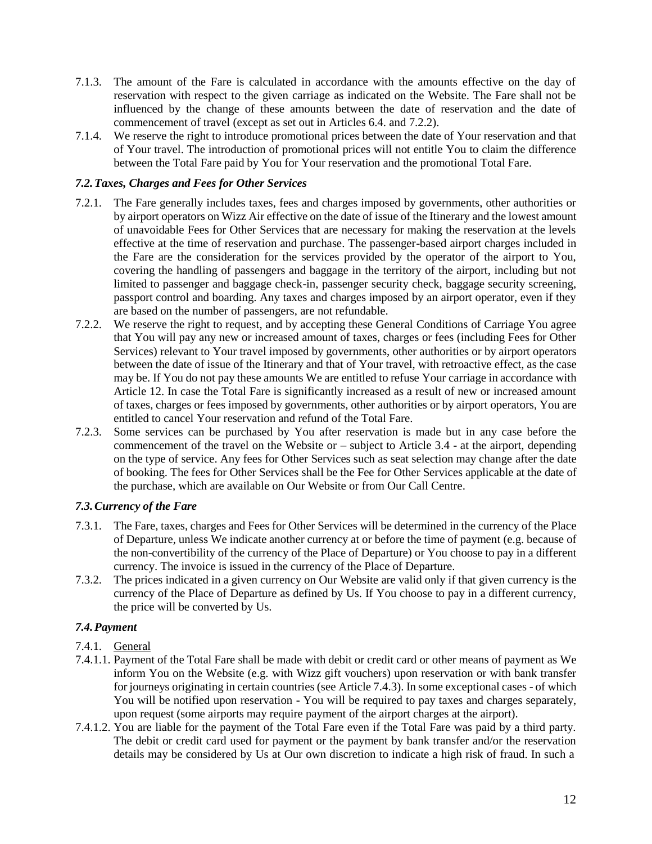- 7.1.3. The amount of the Fare is calculated in accordance with the amounts effective on the day of reservation with respect to the given carriage as indicated on the Website. The Fare shall not be influenced by the change of these amounts between the date of reservation and the date of commencement of travel (except as set out in Articles [6.4. a](#page-10-3)nd [7.2.2\)](#page-11-0).
- 7.1.4. We reserve the right to introduce promotional prices between the date of Your reservation and that of Your travel. The introduction of promotional prices will not entitle You to claim the difference between the Total Fare paid by You for Your reservation and the promotional Total Fare.

### *7.2.Taxes, Charges and Fees for Other Services*

- 7.2.1. The Fare generally includes taxes, fees and charges imposed by governments, other authorities or by airport operators on Wizz Air effective on the date of issue of the Itinerary and the lowest amount of unavoidable Fees for Other Services that are necessary for making the reservation at the levels effective at the time of reservation and purchase. The passenger-based airport charges included in the Fare are the consideration for the services provided by the operator of the airport to You, covering the handling of passengers and baggage in the territory of the airport, including but not limited to passenger and baggage check-in, passenger security check, baggage security screening, passport control and boarding. Any taxes and charges imposed by an airport operator, even if they are based on the number of passengers, are not refundable.
- <span id="page-11-0"></span>7.2.2. We reserve the right to request, and by accepting these General Conditions of Carriage You agree that You will pay any new or increased amount of taxes, charges or fees (including Fees for Other Services) relevant to Your travel imposed by governments, other authorities or by airport operators between the date of issue of the Itinerary and that of Your travel, with retroactive effect, as the case may be. If You do not pay these amounts We are entitled to refuse Your carriage in accordance with Article [12. I](#page-15-2)n case the Total Fare is significantly increased as a result of new or increased amount of taxes, charges or fees imposed by governments, other authorities or by airport operators, You are entitled to cancel Your reservation and refund of the Total Fare.
- 7.2.3. Some services can be purchased by You after reservation is made but in any case before the commencement of the travel on the Website or – subject to Article [3.4 -](#page-7-4) at the airport, depending on the type of service. Any fees for Other Services such as seat selection may change after the date of booking. The fees for Other Services shall be the Fee for Other Services applicable at the date of the purchase, which are available on Our Website or from Our Call Centre.

# *7.3.Currency of the Fare*

- 7.3.1. The Fare, taxes, charges and Fees for Other Services will be determined in the currency of the Place of Departure, unless We indicate another currency at or before the time of payment (e.g. because of the non-convertibility of the currency of the Place of Departure) or You choose to pay in a different currency. The invoice is issued in the currency of the Place of Departure.
- 7.3.2. The prices indicated in a given currency on Our Website are valid only if that given currency is the currency of the Place of Departure as defined by Us. If You choose to pay in a different currency, the price will be converted by Us.

# *7.4.Payment*

- 7.4.1. General
- 7.4.1.1. Payment of the Total Fare shall be made with debit or credit card or other means of payment as We inform You on the Website (e.g. with Wizz gift vouchers) upon reservation or with bank transfer for journeys originating in certain countries (see Article [7.4.3\)](#page-12-0). In some exceptional cases - of which You will be notified upon reservation - You will be required to pay taxes and charges separately, upon request (some airports may require payment of the airport charges at the airport).
- 7.4.1.2. You are liable for the payment of the Total Fare even if the Total Fare was paid by a third party. The debit or credit card used for payment or the payment by bank transfer and/or the reservation details may be considered by Us at Our own discretion to indicate a high risk of fraud. In such a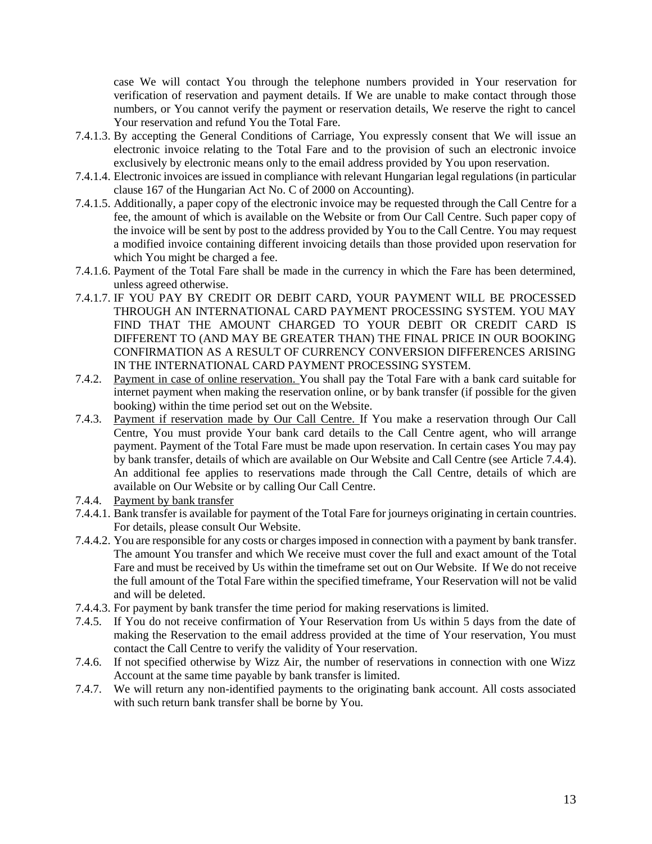case We will contact You through the telephone numbers provided in Your reservation for verification of reservation and payment details. If We are unable to make contact through those numbers, or You cannot verify the payment or reservation details, We reserve the right to cancel Your reservation and refund You the Total Fare.

- 7.4.1.3. By accepting the General Conditions of Carriage, You expressly consent that We will issue an electronic invoice relating to the Total Fare and to the provision of such an electronic invoice exclusively by electronic means only to the email address provided by You upon reservation.
- 7.4.1.4. Electronic invoices are issued in compliance with relevant Hungarian legal regulations (in particular clause 167 of the Hungarian Act No. C of 2000 on Accounting).
- 7.4.1.5. Additionally, a paper copy of the electronic invoice may be requested through the Call Centre for a fee, the amount of which is available on the Website or from Our Call Centre. Such paper copy of the invoice will be sent by post to the address provided by You to the Call Centre. You may request a modified invoice containing different invoicing details than those provided upon reservation for which You might be charged a fee.
- 7.4.1.6. Payment of the Total Fare shall be made in the currency in which the Fare has been determined, unless agreed otherwise.
- 7.4.1.7. IF YOU PAY BY CREDIT OR DEBIT CARD, YOUR PAYMENT WILL BE PROCESSED THROUGH AN INTERNATIONAL CARD PAYMENT PROCESSING SYSTEM. YOU MAY FIND THAT THE AMOUNT CHARGED TO YOUR DEBIT OR CREDIT CARD IS DIFFERENT TO (AND MAY BE GREATER THAN) THE FINAL PRICE IN OUR BOOKING CONFIRMATION AS A RESULT OF CURRENCY CONVERSION DIFFERENCES ARISING IN THE INTERNATIONAL CARD PAYMENT PROCESSING SYSTEM.
- 7.4.2. Payment in case of online reservation. You shall pay the Total Fare with a bank card suitable for internet payment when making the reservation online, or by bank transfer (if possible for the given booking) within the time period set out on the Website.
- 7.4.3. Payment if reservation made by Our Call Centre. If You make a reservation through Our Call Centre, You must provide Your bank card details to the Call Centre agent, who will arrange payment. Payment of the Total Fare must be made upon reservation. In certain cases You may pay by bank transfer, details of which are available on Our Website and Call Centre (see Article [7.4.4\)](#page-12-1). An additional fee applies to reservations made through the Call Centre, details of which are available on Our Website or by calling Our Call Centre.
- <span id="page-12-1"></span><span id="page-12-0"></span>7.4.4. Payment by bank transfer
- 7.4.4.1. Bank transfer is available for payment of the Total Fare for journeys originating in certain countries. For details, please consult Our Website.
- 7.4.4.2. You are responsible for any costs or chargesimposed in connection with a payment by bank transfer. The amount You transfer and which We receive must cover the full and exact amount of the Total Fare and must be received by Us within the timeframe set out on Our Website. If We do not receive the full amount of the Total Fare within the specified timeframe, Your Reservation will not be valid and will be deleted.
- 7.4.4.3. For payment by bank transfer the time period for making reservations is limited.
- 7.4.5. If You do not receive confirmation of Your Reservation from Us within 5 days from the date of making the Reservation to the email address provided at the time of Your reservation, You must contact the Call Centre to verify the validity of Your reservation.
- 7.4.6. If not specified otherwise by Wizz Air, the number of reservations in connection with one Wizz Account at the same time payable by bank transfer is limited.
- 7.4.7. We will return any non-identified payments to the originating bank account. All costs associated with such return bank transfer shall be borne by You.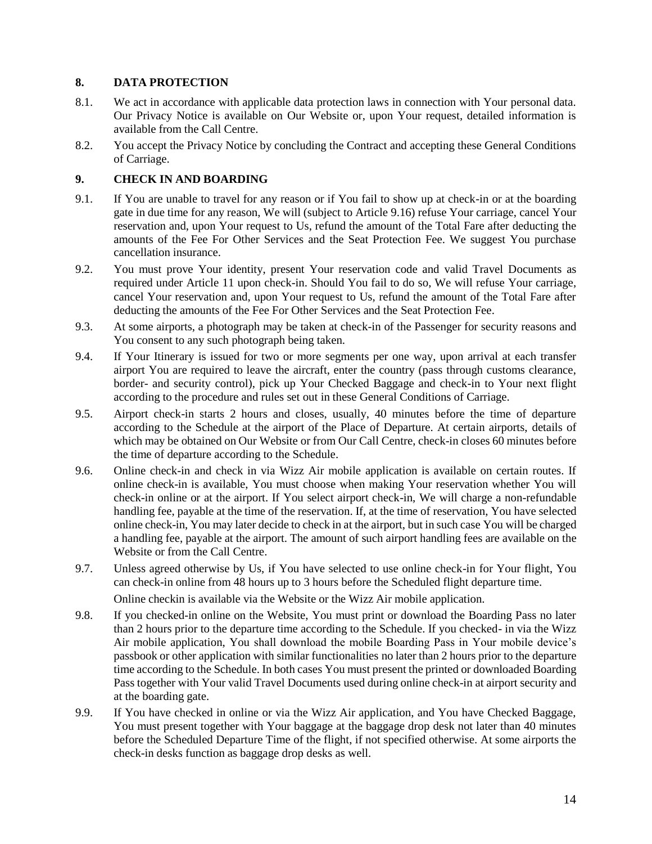# <span id="page-13-0"></span>**8. DATA PROTECTION**

- 8.1. We act in accordance with applicable data protection laws in connection with Your personal data. Our Privacy Notice is available on Our Website or, upon Your request, detailed information is available from the Call Centre.
- 8.2. You accept the Privacy Notice by concluding the Contract and accepting these General Conditions of Carriage.

# <span id="page-13-1"></span>**9. CHECK IN AND BOARDING**

- <span id="page-13-3"></span>9.1. If You are unable to travel for any reason or if You fail to show up at check-in or at the boarding gate in due time for any reason, We will (subject to Article [9.16\)](#page-14-0) refuse Your carriage, cancel Your reservation and, upon Your request to Us, refund the amount of the Total Fare after deducting the amounts of the Fee For Other Services and the Seat Protection Fee. We suggest You purchase cancellation insurance.
- 9.2. You must prove Your identity, present Your reservation code and valid Travel Documents as required under Article [11 u](#page-15-1)pon check-in. Should You fail to do so, We will refuse Your carriage, cancel Your reservation and, upon Your request to Us, refund the amount of the Total Fare after deducting the amounts of the Fee For Other Services and the Seat Protection Fee.
- 9.3. At some airports, a photograph may be taken at check-in of the Passenger for security reasons and You consent to any such photograph being taken.
- 9.4. If Your Itinerary is issued for two or more segments per one way, upon arrival at each transfer airport You are required to leave the aircraft, enter the country (pass through customs clearance, border- and security control), pick up Your Checked Baggage and check-in to Your next flight according to the procedure and rules set out in these General Conditions of Carriage.
- 9.5. Airport check-in starts 2 hours and closes, usually, 40 minutes before the time of departure according to the Schedule at the airport of the Place of Departure. At certain airports, details of which may be obtained on Our Website or from Our Call Centre, check-in closes 60 minutes before the time of departure according to the Schedule.
- 9.6. Online check-in and check in via Wizz Air mobile application is available on certain routes. If online check-in is available, You must choose when making Your reservation whether You will check-in online or at the airport. If You select airport check-in, We will charge a non-refundable handling fee, payable at the time of the reservation. If, at the time of reservation, You have selected online check-in, You may later decide to check in at the airport, but in such case You will be charged a handling fee, payable at the airport. The amount of such airport handling fees are available on the Website or from the Call Centre.
- <span id="page-13-2"></span>9.7. Unless agreed otherwise by Us, if You have selected to use online check-in for Your flight, You can check-in online from 48 hours up to 3 hours before the Scheduled flight departure time.

Online checkin is available via the Website or the Wizz Air mobile application.

- 9.8. If you checked-in online on the Website, You must print or download the Boarding Pass no later than 2 hours prior to the departure time according to the Schedule. If you checked- in via the Wizz Air mobile application, You shall download the mobile Boarding Pass in Your mobile device's passbook or other application with similar functionalities no later than 2 hours prior to the departure time according to the Schedule. In both cases You must present the printed or downloaded Boarding Pass together with Your valid Travel Documents used during online check-in at airport security and at the boarding gate.
- 9.9. If You have checked in online or via the Wizz Air application, and You have Checked Baggage, You must present together with Your baggage at the baggage drop desk not later than 40 minutes before the Scheduled Departure Time of the flight, if not specified otherwise. At some airports the check-in desks function as baggage drop desks as well.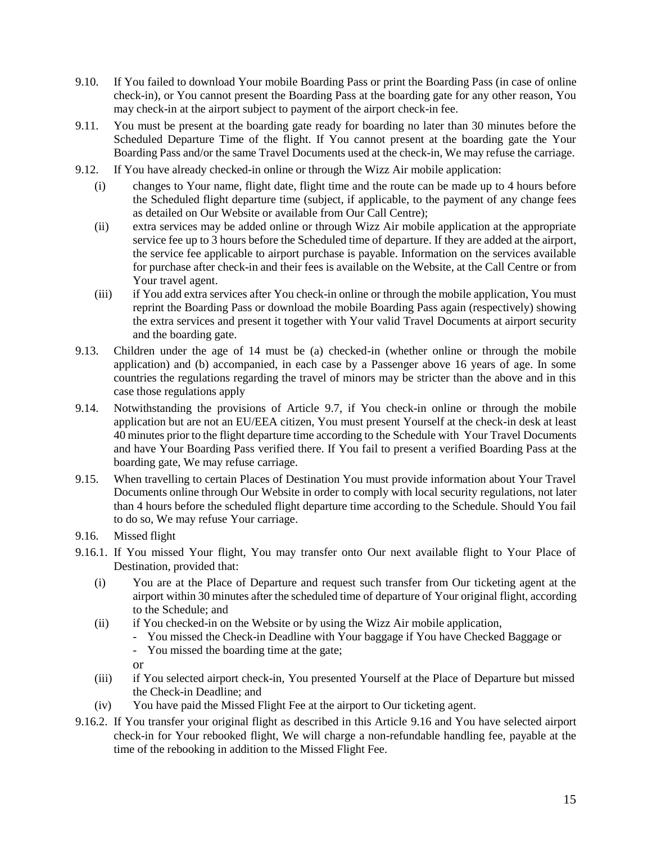- 9.10. If You failed to download Your mobile Boarding Pass or print the Boarding Pass (in case of online check-in), or You cannot present the Boarding Pass at the boarding gate for any other reason, You may check-in at the airport subject to payment of the airport check-in fee.
- 9.11. You must be present at the boarding gate ready for boarding no later than 30 minutes before the Scheduled Departure Time of the flight. If You cannot present at the boarding gate the Your Boarding Pass and/or the same Travel Documents used at the check-in, We may refuse the carriage.
- 9.12. If You have already checked-in online or through the Wizz Air mobile application:
	- (i) changes to Your name, flight date, flight time and the route can be made up to 4 hours before the Scheduled flight departure time (subject, if applicable, to the payment of any change fees as detailed on Our Website or available from Our Call Centre);
	- (ii) extra services may be added online or through Wizz Air mobile application at the appropriate service fee up to 3 hours before the Scheduled time of departure. If they are added at the airport, the service fee applicable to airport purchase is payable. Information on the services available for purchase after check-in and their fees is available on the Website, at the Call Centre or from Your travel agent.
	- (iii) if You add extra services after You check-in online or through the mobile application, You must reprint the Boarding Pass or download the mobile Boarding Pass again (respectively) showing the extra services and present it together with Your valid Travel Documents at airport security and the boarding gate.
- 9.13. Children under the age of 14 must be (a) checked-in (whether online or through the mobile application) and (b) accompanied, in each case by a Passenger above 16 years of age. In some countries the regulations regarding the travel of minors may be stricter than the above and in this case those regulations apply
- 9.14. Notwithstanding the provisions of Article [9.7,](#page-13-2) if You check-in online or through the mobile application but are not an EU/EEA citizen, You must present Yourself at the check-in desk at least 40 minutes prior to the flight departure time according to the Schedule with Your Travel Documents and have Your Boarding Pass verified there. If You fail to present a verified Boarding Pass at the boarding gate, We may refuse carriage.
- 9.15. When travelling to certain Places of Destination You must provide information about Your Travel Documents online through Our Website in order to comply with local security regulations, not later than 4 hours before the scheduled flight departure time according to the Schedule. Should You fail to do so, We may refuse Your carriage.
- <span id="page-14-0"></span>9.16. Missed flight
- 9.16.1. If You missed Your flight, You may transfer onto Our next available flight to Your Place of Destination, provided that:
	- (i) You are at the Place of Departure and request such transfer from Our ticketing agent at the airport within 30 minutes after the scheduled time of departure of Your original flight, according to the Schedule; and
	- (ii) if You checked-in on the Website or by using the Wizz Air mobile application,
		- You missed the Check-in Deadline with Your baggage if You have Checked Baggage or
		- You missed the boarding time at the gate;
		- or
	- (iii) if You selected airport check-in, You presented Yourself at the Place of Departure but missed the Check-in Deadline; and
	- (iv) You have paid the Missed Flight Fee at the airport to Our ticketing agent.
- 9.16.2. If You transfer your original flight as described in this Article [9.16 a](#page-14-0)nd You have selected airport check-in for Your rebooked flight, We will charge a non-refundable handling fee, payable at the time of the rebooking in addition to the Missed Flight Fee.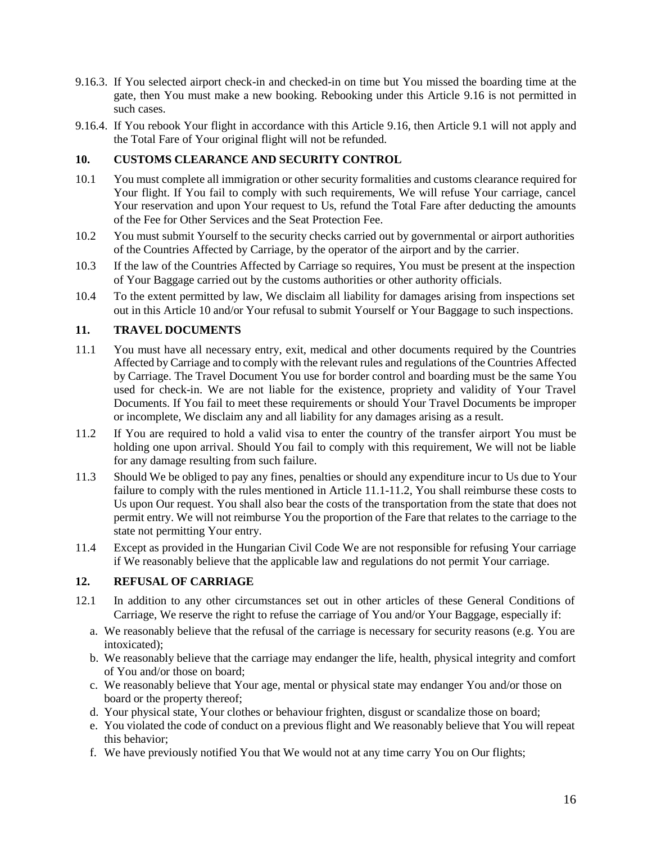- 9.16.3. If You selected airport check-in and checked-in on time but You missed the boarding time at the gate, then You must make a new booking. Rebooking under this Article [9.16 i](#page-14-0)s not permitted in such cases.
- 9.16.4. If You rebook Your flight in accordance with this Article [9.16, t](#page-14-0)hen Article [9.1 w](#page-13-3)ill not apply and the Total Fare of Your original flight will not be refunded.

# <span id="page-15-0"></span>**10. CUSTOMS CLEARANCE AND SECURITY CONTROL**

- 10.1 You must complete all immigration or other security formalities and customs clearance required for Your flight. If You fail to comply with such requirements, We will refuse Your carriage, cancel Your reservation and upon Your request to Us, refund the Total Fare after deducting the amounts of the Fee for Other Services and the Seat Protection Fee.
- 10.2 You must submit Yourself to the security checks carried out by governmental or airport authorities of the Countries Affected by Carriage, by the operator of the airport and by the carrier.
- 10.3 If the law of the Countries Affected by Carriage so requires, You must be present at the inspection of Your Baggage carried out by the customs authorities or other authority officials.
- 10.4 To the extent permitted by law, We disclaim all liability for damages arising from inspections set out in this Article [10](#page-15-0) and/or Your refusal to submit Yourself or Your Baggage to such inspections.

### <span id="page-15-1"></span>**11. TRAVEL DOCUMENTS**

- <span id="page-15-3"></span>11.1 You must have all necessary entry, exit, medical and other documents required by the Countries Affected by Carriage and to comply with the relevant rules and regulations of the Countries Affected by Carriage. The Travel Document You use for border control and boarding must be the same You used for check-in. We are not liable for the existence, propriety and validity of Your Travel Documents. If You fail to meet these requirements or should Your Travel Documents be improper or incomplete, We disclaim any and all liability for any damages arising as a result.
- <span id="page-15-4"></span>11.2 If You are required to hold a valid visa to enter the country of the transfer airport You must be holding one upon arrival. Should You fail to comply with this requirement, We will not be liable for any damage resulting from such failure.
- 11.3 Should We be obliged to pay any fines, penalties or should any expenditure incur to Us due to Your failure to comply with the rules mentioned in Article [11.1](#page-15-3)[-11.2, Y](#page-15-4)ou shall reimburse these costs to Us upon Our request. You shall also bear the costs of the transportation from the state that does not permit entry. We will not reimburse You the proportion of the Fare that relates to the carriage to the state not permitting Your entry.
- 11.4 Except as provided in the Hungarian Civil Code We are not responsible for refusing Your carriage if We reasonably believe that the applicable law and regulations do not permit Your carriage.

### <span id="page-15-2"></span>**12. REFUSAL OF CARRIAGE**

- 12.1 In addition to any other circumstances set out in other articles of these General Conditions of Carriage, We reserve the right to refuse the carriage of You and/or Your Baggage, especially if:
	- a. We reasonably believe that the refusal of the carriage is necessary for security reasons (e.g. You are intoxicated);
	- b. We reasonably believe that the carriage may endanger the life, health, physical integrity and comfort of You and/or those on board;
	- c. We reasonably believe that Your age, mental or physical state may endanger You and/or those on board or the property thereof;
	- d. Your physical state, Your clothes or behaviour frighten, disgust or scandalize those on board;
	- e. You violated the code of conduct on a previous flight and We reasonably believe that You will repeat this behavior;
	- f. We have previously notified You that We would not at any time carry You on Our flights;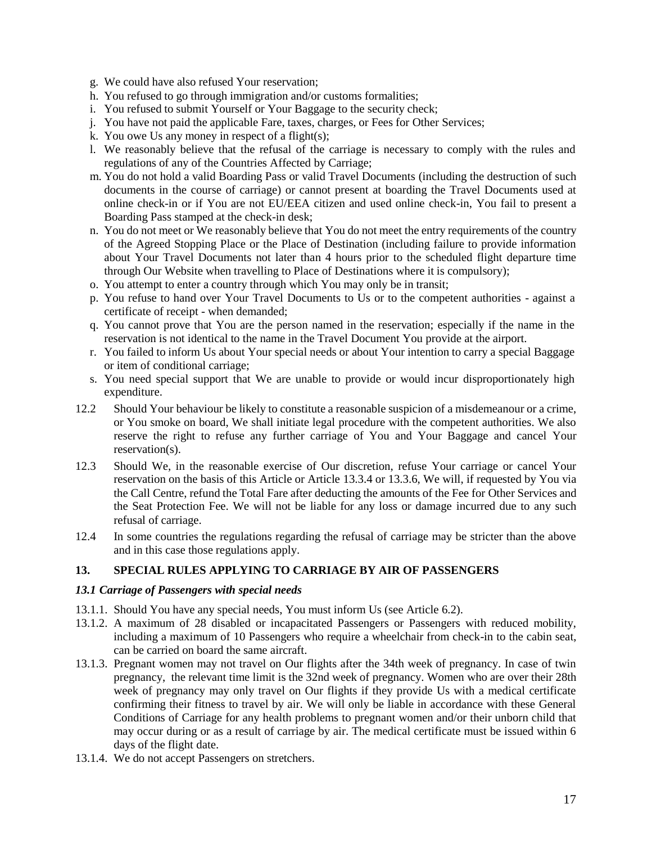- g. We could have also refused Your reservation;
- h. You refused to go through immigration and/or customs formalities;
- i. You refused to submit Yourself or Your Baggage to the security check;
- j. You have not paid the applicable Fare, taxes, charges, or Fees for Other Services;
- k. You owe Us any money in respect of a flight(s);
- l. We reasonably believe that the refusal of the carriage is necessary to comply with the rules and regulations of any of the Countries Affected by Carriage;
- m. You do not hold a valid Boarding Pass or valid Travel Documents (including the destruction of such documents in the course of carriage) or cannot present at boarding the Travel Documents used at online check-in or if You are not EU/EEA citizen and used online check-in, You fail to present a Boarding Pass stamped at the check-in desk;
- n. You do not meet or We reasonably believe that You do not meet the entry requirements of the country of the Agreed Stopping Place or the Place of Destination (including failure to provide information about Your Travel Documents not later than 4 hours prior to the scheduled flight departure time through Our Website when travelling to Place of Destinations where it is compulsory);
- o. You attempt to enter a country through which You may only be in transit;
- p. You refuse to hand over Your Travel Documents to Us or to the competent authorities against a certificate of receipt - when demanded;
- q. You cannot prove that You are the person named in the reservation; especially if the name in the reservation is not identical to the name in the Travel Document You provide at the airport.
- r. You failed to inform Us about Your special needs or about Your intention to carry a special Baggage or item of conditional carriage;
- s. You need special support that We are unable to provide or would incur disproportionately high expenditure.
- 12.2 Should Your behaviour be likely to constitute a reasonable suspicion of a misdemeanour or a crime, or You smoke on board, We shall initiate legal procedure with the competent authorities. We also reserve the right to refuse any further carriage of You and Your Baggage and cancel Your reservation(s).
- 12.3 Should We, in the reasonable exercise of Our discretion, refuse Your carriage or cancel Your reservation on the basis of this Article or Article [13.3.4 o](#page-17-0)r [13.3.6, W](#page-18-1)e will, if requested by You via the Call Centre, refund the Total Fare after deducting the amounts of the Fee for Other Services and the Seat Protection Fee. We will not be liable for any loss or damage incurred due to any such refusal of carriage.
- 12.4 In some countries the regulations regarding the refusal of carriage may be stricter than the above and in this case those regulations apply.

#### <span id="page-16-0"></span>**13. SPECIAL RULES APPLYING TO CARRIAGE BY AIR OF PASSENGERS**

#### *13.1 Carriage of Passengers with special needs*

- 13.1.1. Should You have any special needs, You must inform Us (see Article [6.2\)](#page-8-3).
- 13.1.2. A maximum of 28 disabled or incapacitated Passengers or Passengers with reduced mobility, including a maximum of 10 Passengers who require a wheelchair from check-in to the cabin seat, can be carried on board the same aircraft.
- 13.1.3. Pregnant women may not travel on Our flights after the 34th week of pregnancy. In case of twin pregnancy, the relevant time limit is the 32nd week of pregnancy. Women who are over their 28th week of pregnancy may only travel on Our flights if they provide Us with a medical certificate confirming their fitness to travel by air. We will only be liable in accordance with these General Conditions of Carriage for any health problems to pregnant women and/or their unborn child that may occur during or as a result of carriage by air. The medical certificate must be issued within 6 days of the flight date.
- 13.1.4. We do not accept Passengers on stretchers.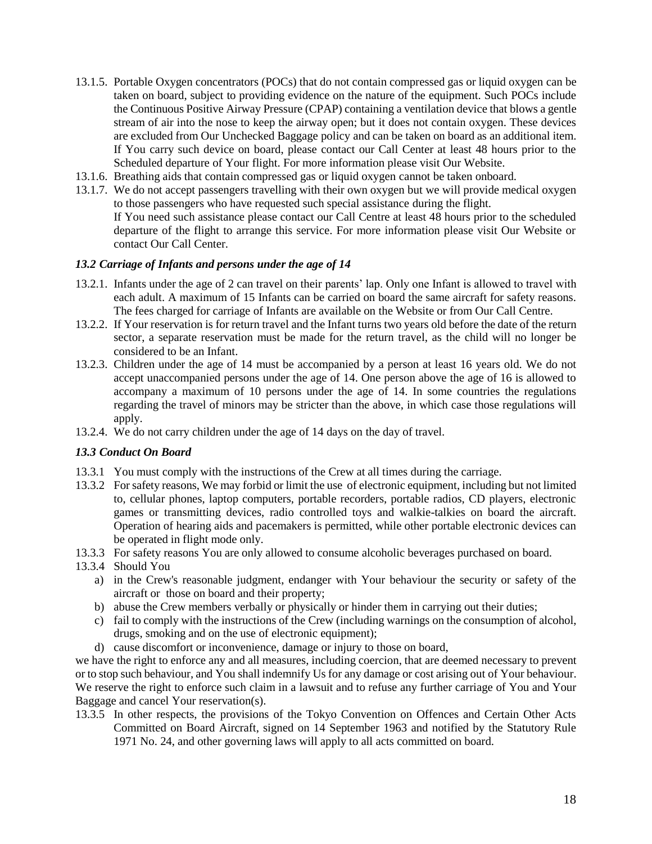- 13.1.5. Portable Oxygen concentrators (POCs) that do not contain compressed gas or liquid oxygen can be taken on board, subject to providing evidence on the nature of the equipment. Such POCs include the Continuous Positive Airway Pressure (CPAP) containing a ventilation device that blows a gentle stream of air into the nose to keep the airway open; but it does not contain oxygen. These devices are excluded from Our Unchecked Baggage policy and can be taken on board as an additional item. If You carry such device on board, please contact our Call Center at least 48 hours prior to the Scheduled departure of Your flight. For more information please visit Our Website.
- 13.1.6. Breathing aids that contain compressed gas or liquid oxygen cannot be taken onboard.
- 13.1.7. We do not accept passengers travelling with their own oxygen but we will provide medical oxygen to those passengers who have requested such special assistance during the flight. If You need such assistance please contact our Call Centre at least 48 hours prior to the scheduled departure of the flight to arrange this service. For more information please visit Our Website or contact Our Call Center.

### *13.2 Carriage of Infants and persons under the age of 14*

- 13.2.1. Infants under the age of 2 can travel on their parents' lap. Only one Infant is allowed to travel with each adult. A maximum of 15 Infants can be carried on board the same aircraft for safety reasons. The fees charged for carriage of Infants are available on the Website or from Our Call Centre.
- 13.2.2. If Your reservation is for return travel and the Infant turns two years old before the date of the return sector, a separate reservation must be made for the return travel, as the child will no longer be considered to be an Infant.
- 13.2.3. Children under the age of 14 must be accompanied by a person at least 16 years old. We do not accept unaccompanied persons under the age of 14. One person above the age of 16 is allowed to accompany a maximum of 10 persons under the age of 14. In some countries the regulations regarding the travel of minors may be stricter than the above, in which case those regulations will apply.
- 13.2.4. We do not carry children under the age of 14 days on the day of travel.

#### *13.3 Conduct On Board*

- 13.3.1 You must comply with the instructions of the Crew at all times during the carriage.
- 13.3.2 Forsafety reasons, We may forbid or limit the use of electronic equipment, including but not limited to, cellular phones, laptop computers, portable recorders, portable radios, CD players, electronic games or transmitting devices, radio controlled toys and walkie-talkies on board the aircraft. Operation of hearing aids and pacemakers is permitted, while other portable electronic devices can be operated in flight mode only.
- 13.3.3 For safety reasons You are only allowed to consume alcoholic beverages purchased on board.
- <span id="page-17-0"></span>13.3.4 Should You
	- a) in the Crew's reasonable judgment, endanger with Your behaviour the security or safety of the aircraft or those on board and their property;
	- b) abuse the Crew members verbally or physically or hinder them in carrying out their duties;
	- c) fail to comply with the instructions of the Crew (including warnings on the consumption of alcohol, drugs, smoking and on the use of electronic equipment);
	- d) cause discomfort or inconvenience, damage or injury to those on board,

we have the right to enforce any and all measures, including coercion, that are deemed necessary to prevent or to stop such behaviour, and You shall indemnify Us for any damage or cost arising out of Your behaviour. We reserve the right to enforce such claim in a lawsuit and to refuse any further carriage of You and Your Baggage and cancel Your reservation(s).

13.3.5 In other respects, the provisions of the Tokyo Convention on Offences and Certain Other Acts Committed on Board Aircraft, signed on 14 September 1963 and notified by the Statutory Rule 1971 No. 24, and other governing laws will apply to all acts committed on board.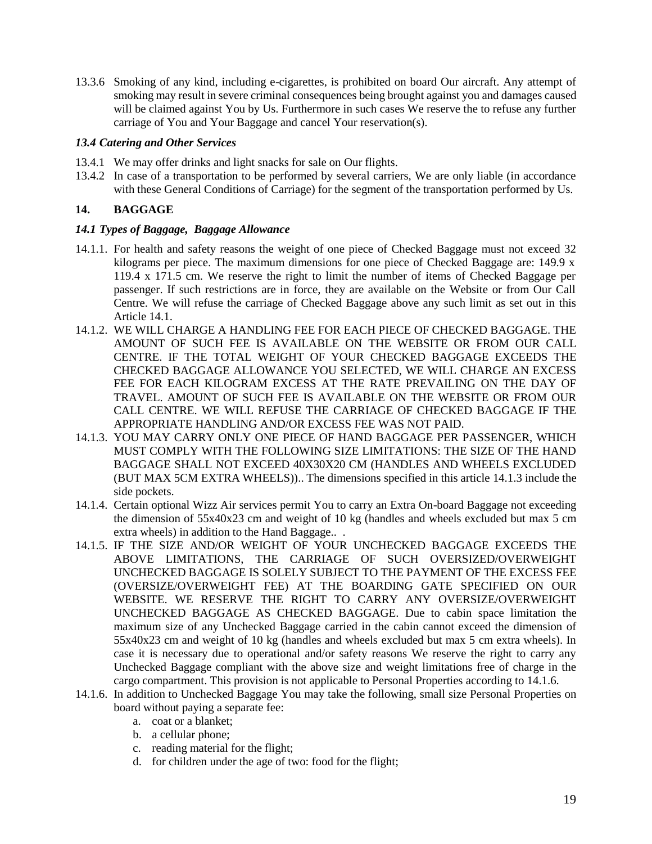<span id="page-18-1"></span>13.3.6 Smoking of any kind, including e-cigarettes, is prohibited on board Our aircraft. Any attempt of smoking may result in severe criminal consequences being brought against you and damages caused will be claimed against You by Us. Furthermore in such cases We reserve the to refuse any further carriage of You and Your Baggage and cancel Your reservation(s).

### *13.4 Catering and Other Services*

- 13.4.1 We may offer drinks and light snacks for sale on Our flights.
- 13.4.2 In case of a transportation to be performed by several carriers, We are only liable (in accordance with these General Conditions of Carriage) for the segment of the transportation performed by Us.

### <span id="page-18-0"></span>**14. BAGGAGE**

### <span id="page-18-2"></span>*14.1 Types of Baggage, Baggage Allowance*

- 14.1.1. For health and safety reasons the weight of one piece of Checked Baggage must not exceed 32 kilograms per piece. The maximum dimensions for one piece of Checked Baggage are: 149.9 x 119.4 x 171.5 cm. We reserve the right to limit the number of items of Checked Baggage per passenger. If such restrictions are in force, they are available on the Website or from Our Call Centre. We will refuse the carriage of Checked Baggage above any such limit as set out in this Article [14.1.](#page-18-2)
- 14.1.2. WE WILL CHARGE A HANDLING FEE FOR EACH PIECE OF CHECKED BAGGAGE. THE AMOUNT OF SUCH FEE IS AVAILABLE ON THE WEBSITE OR FROM OUR CALL CENTRE. IF THE TOTAL WEIGHT OF YOUR CHECKED BAGGAGE EXCEEDS THE CHECKED BAGGAGE ALLOWANCE YOU SELECTED, WE WILL CHARGE AN EXCESS FEE FOR EACH KILOGRAM EXCESS AT THE RATE PREVAILING ON THE DAY OF TRAVEL. AMOUNT OF SUCH FEE IS AVAILABLE ON THE WEBSITE OR FROM OUR CALL CENTRE. WE WILL REFUSE THE CARRIAGE OF CHECKED BAGGAGE IF THE APPROPRIATE HANDLING AND/OR EXCESS FEE WAS NOT PAID.
- 14.1.3. YOU MAY CARRY ONLY ONE PIECE OF HAND BAGGAGE PER PASSENGER, WHICH MUST COMPLY WITH THE FOLLOWING SIZE LIMITATIONS: THE SIZE OF THE HAND BAGGAGE SHALL NOT EXCEED 40X30X20 CM (HANDLES AND WHEELS EXCLUDED (BUT MAX 5CM EXTRA WHEELS)).. The dimensions specified in this article 14.1.3 include the side pockets.
- 14.1.4. Certain optional Wizz Air services permit You to carry an Extra On-board Baggage not exceeding the dimension of 55x40x23 cm and weight of 10 kg (handles and wheels excluded but max 5 cm extra wheels) in addition to the Hand Baggage.. .
- 14.1.5. IF THE SIZE AND/OR WEIGHT OF YOUR UNCHECKED BAGGAGE EXCEEDS THE ABOVE LIMITATIONS, THE CARRIAGE OF SUCH OVERSIZED/OVERWEIGHT UNCHECKED BAGGAGE IS SOLELY SUBJECT TO THE PAYMENT OF THE EXCESS FEE (OVERSIZE/OVERWEIGHT FEE) AT THE BOARDING GATE SPECIFIED ON OUR WEBSITE. WE RESERVE THE RIGHT TO CARRY ANY OVERSIZE/OVERWEIGHT UNCHECKED BAGGAGE AS CHECKED BAGGAGE. Due to cabin space limitation the maximum size of any Unchecked Baggage carried in the cabin cannot exceed the dimension of 55x40x23 cm and weight of 10 kg (handles and wheels excluded but max 5 cm extra wheels). In case it is necessary due to operational and/or safety reasons We reserve the right to carry any Unchecked Baggage compliant with the above size and weight limitations free of charge in the cargo compartment. This provision is not applicable to Personal Properties according to 14.1.6.
- 14.1.6. In addition to Unchecked Baggage You may take the following, small size Personal Properties on board without paying a separate fee:
	- a. coat or a blanket;
	- b. a cellular phone;
	- c. reading material for the flight;
	- d. for children under the age of two: food for the flight;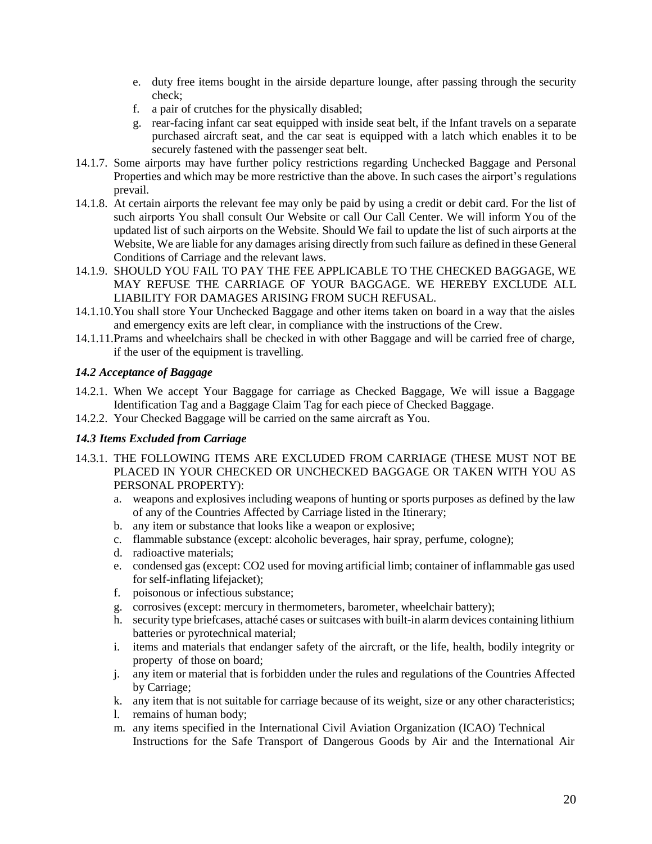- e. duty free items bought in the airside departure lounge, after passing through the security check;
- f. a pair of crutches for the physically disabled;
- g. rear-facing infant car seat equipped with inside seat belt, if the Infant travels on a separate purchased aircraft seat, and the car seat is equipped with a latch which enables it to be securely fastened with the passenger seat belt.
- 14.1.7. Some airports may have further policy restrictions regarding Unchecked Baggage and Personal Properties and which may be more restrictive than the above. In such cases the airport's regulations prevail.
- 14.1.8. At certain airports the relevant fee may only be paid by using a credit or debit card. For the list of such airports You shall consult Our Website or call Our Call Center. We will inform You of the updated list of such airports on the Website. Should We fail to update the list of such airports at the Website, We are liable for any damages arising directly from such failure as defined in these General Conditions of Carriage and the relevant laws.
- 14.1.9. SHOULD YOU FAIL TO PAY THE FEE APPLICABLE TO THE CHECKED BAGGAGE, WE MAY REFUSE THE CARRIAGE OF YOUR BAGGAGE. WE HEREBY EXCLUDE ALL LIABILITY FOR DAMAGES ARISING FROM SUCH REFUSAL.
- 14.1.10.You shall store Your Unchecked Baggage and other items taken on board in a way that the aisles and emergency exits are left clear, in compliance with the instructions of the Crew.
- 14.1.11.Prams and wheelchairs shall be checked in with other Baggage and will be carried free of charge, if the user of the equipment is travelling.

# <span id="page-19-1"></span>*14.2 Acceptance of Baggage*

- 14.2.1. When We accept Your Baggage for carriage as Checked Baggage, We will issue a Baggage Identification Tag and a Baggage Claim Tag for each piece of Checked Baggage.
- 14.2.2. Your Checked Baggage will be carried on the same aircraft as You.

# <span id="page-19-0"></span>*14.3 Items Excluded from Carriage*

- 14.3.1. THE FOLLOWING ITEMS ARE EXCLUDED FROM CARRIAGE (THESE MUST NOT BE PLACED IN YOUR CHECKED OR UNCHECKED BAGGAGE OR TAKEN WITH YOU AS PERSONAL PROPERTY):
	- a. weapons and explosives including weapons of hunting or sports purposes as defined by the law of any of the Countries Affected by Carriage listed in the Itinerary;
	- b. any item or substance that looks like a weapon or explosive;
	- c. flammable substance (except: alcoholic beverages, hair spray, perfume, cologne);
	- d. radioactive materials;
	- e. condensed gas (except: CO2 used for moving artificial limb; container of inflammable gas used for self-inflating lifejacket);
	- f. poisonous or infectious substance;
	- g. corrosives (except: mercury in thermometers, barometer, wheelchair battery);
	- h. security type briefcases, attaché cases orsuitcases with built-in alarm devices containing lithium batteries or pyrotechnical material;
	- i. items and materials that endanger safety of the aircraft, or the life, health, bodily integrity or property of those on board;
	- j. any item or material that is forbidden under the rules and regulations of the Countries Affected by Carriage;
	- k. any item that is not suitable for carriage because of its weight, size or any other characteristics;
	- l. remains of human body;
	- m. any items specified in the International Civil Aviation Organization (ICAO) Technical Instructions for the Safe Transport of Dangerous Goods by Air and the International Air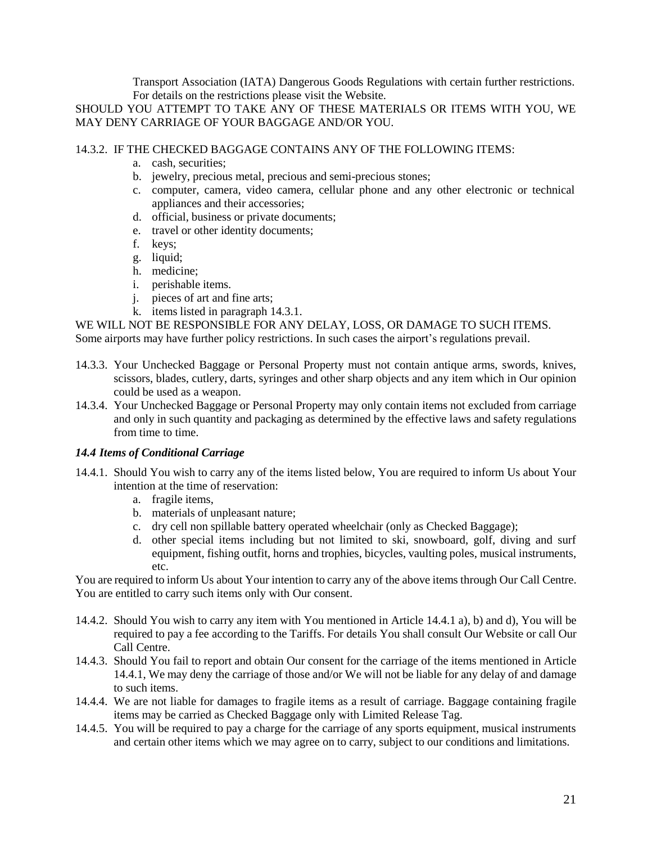Transport Association (IATA) Dangerous Goods Regulations with certain further restrictions. For details on the restrictions please visit the Website.

SHOULD YOU ATTEMPT TO TAKE ANY OF THESE MATERIALS OR ITEMS WITH YOU, WE MAY DENY CARRIAGE OF YOUR BAGGAGE AND/OR YOU.

### 14.3.2. IF THE CHECKED BAGGAGE CONTAINS ANY OF THE FOLLOWING ITEMS:

- a. cash, securities;
- b. jewelry, precious metal, precious and semi-precious stones;
- c. computer, camera, video camera, cellular phone and any other electronic or technical appliances and their accessories;
- d. official, business or private documents;
- e. travel or other identity documents;
- f. keys;
- g. liquid;
- h. medicine;
- i. perishable items.
- j. pieces of art and fine arts;
- k. items listed in paragraph 14.3.1.

WE WILL NOT BE RESPONSIBLE FOR ANY DELAY, LOSS, OR DAMAGE TO SUCH ITEMS. Some airports may have further policy restrictions. In such cases the airport's regulations prevail.

- 14.3.3. Your Unchecked Baggage or Personal Property must not contain antique arms, swords, knives, scissors, blades, cutlery, darts, syringes and other sharp objects and any item which in Our opinion could be used as a weapon.
- 14.3.4. Your Unchecked Baggage or Personal Property may only contain items not excluded from carriage and only in such quantity and packaging as determined by the effective laws and safety regulations from time to time.

### <span id="page-20-0"></span>*14.4 Items of Conditional Carriage*

- <span id="page-20-2"></span><span id="page-20-1"></span>14.4.1. Should You wish to carry any of the items listed below, You are required to inform Us about Your intention at the time of reservation:
	- a. fragile items,
	- b. materials of unpleasant nature;
	- c. dry cell non spillable battery operated wheelchair (only as Checked Baggage);
	- d. other special items including but not limited to ski, snowboard, golf, diving and surf equipment, fishing outfit, horns and trophies, bicycles, vaulting poles, musical instruments, etc.

<span id="page-20-3"></span>You are required to inform Us about Your intention to carry any of the above items through Our Call Centre. You are entitled to carry such items only with Our consent.

- 14.4.2. Should You wish to carry any item with You mentioned in Article [14.4.1](#page-20-1) [a\)](#page-20-1), [b\)](#page-20-2) and [d\)](#page-20-3), You will be required to pay a fee according to the Tariffs. For details You shall consult Our Website or call Our Call Centre.
- 14.4.3. Should You fail to report and obtain Our consent for the carriage of the items mentioned in Article [14.4.1,](#page-20-1) We may deny the carriage of those and/or We will not be liable for any delay of and damage to such items.
- 14.4.4. We are not liable for damages to fragile items as a result of carriage. Baggage containing fragile items may be carried as Checked Baggage only with Limited Release Tag.
- 14.4.5. You will be required to pay a charge for the carriage of any sports equipment, musical instruments and certain other items which we may agree on to carry, subject to our conditions and limitations.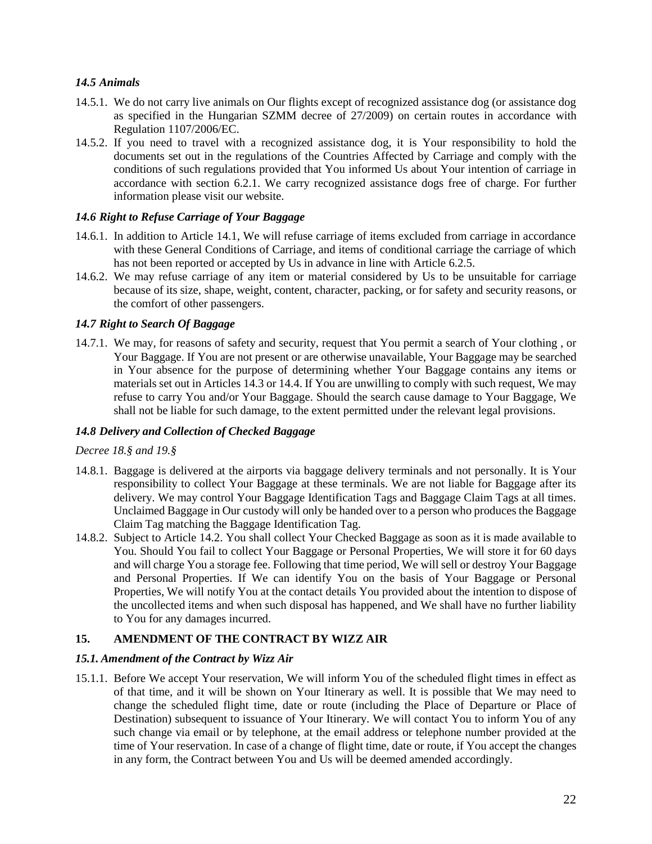# *14.5 Animals*

- 14.5.1. We do not carry live animals on Our flights except of recognized assistance dog (or assistance dog as specified in the Hungarian SZMM decree of 27/2009) on certain routes in accordance with Regulation [1107/2006/](http://eur-lex.europa.eu/LexUriServ/LexUriServ.do?uri=CELEX%3A32006R1107%3AEN%3ANOT)EC.
- 14.5.2. If you need to travel with a recognized assistance dog, it is Your responsibility to hold the documents set out in the regulations of the Countries Affected by Carriage and comply with the conditions of such regulations provided that You informed Us about Your intention of carriage in accordance with section [6.2.1.](#page-8-1) We carry recognized assistance dogs free of charge. For further information please visit our website.

### *14.6 Right to Refuse Carriage of Your Baggage*

- 14.6.1. In addition to Article [14.1, W](#page-18-2)e will refuse carriage of items excluded from carriage in accordance with these General Conditions of Carriage, and items of conditional carriage the carriage of which has not been reported or accepted by Us in advance in line with Article [6.2.5.](#page-9-0)
- 14.6.2. We may refuse carriage of any item or material considered by Us to be unsuitable for carriage because of its size, shape, weight, content, character, packing, or for safety and security reasons, or the comfort of other passengers.

### *14.7 Right to Search Of Baggage*

14.7.1. We may, for reasons of safety and security, request that You permit a search of Your clothing , or Your Baggage. If You are not present or are otherwise unavailable, Your Baggage may be searched in Your absence for the purpose of determining whether Your Baggage contains any items or materials set out in Articles [14.3](#page-19-0) or [14.4.](#page-20-0) If You are unwilling to comply with such request, We may refuse to carry You and/or Your Baggage. Should the search cause damage to Your Baggage, We shall not be liable for such damage, to the extent permitted under the relevant legal provisions.

### *14.8 Delivery and Collection of Checked Baggage*

### *Decree 18.§ and 19.§*

- 14.8.1. Baggage is delivered at the airports via baggage delivery terminals and not personally. It is Your responsibility to collect Your Baggage at these terminals. We are not liable for Baggage after its delivery. We may control Your Baggage Identification Tags and Baggage Claim Tags at all times. Unclaimed Baggage in Our custody will only be handed over to a person who produces the Baggage Claim Tag matching the Baggage Identification Tag.
- 14.8.2. Subject to Article [14.2. Y](#page-19-1)ou shall collect Your Checked Baggage as soon as it is made available to You. Should You fail to collect Your Baggage or Personal Properties, We will store it for 60 days and will charge You a storage fee. Following that time period, We will sell or destroy Your Baggage and Personal Properties. If We can identify You on the basis of Your Baggage or Personal Properties, We will notify You at the contact details You provided about the intention to dispose of the uncollected items and when such disposal has happened, and We shall have no further liability to You for any damages incurred.

# <span id="page-21-0"></span>**15. AMENDMENT OF THE CONTRACT BY WIZZ AIR**

### <span id="page-21-1"></span>*15.1. Amendment of the Contract by Wizz Air*

15.1.1. Before We accept Your reservation, We will inform You of the scheduled flight times in effect as of that time, and it will be shown on Your Itinerary as well. It is possible that We may need to change the scheduled flight time, date or route (including the Place of Departure or Place of Destination) subsequent to issuance of Your Itinerary. We will contact You to inform You of any such change via email or by telephone, at the email address or telephone number provided at the time of Your reservation. In case of a change of flight time, date or route, if You accept the changes in any form, the Contract between You and Us will be deemed amended accordingly.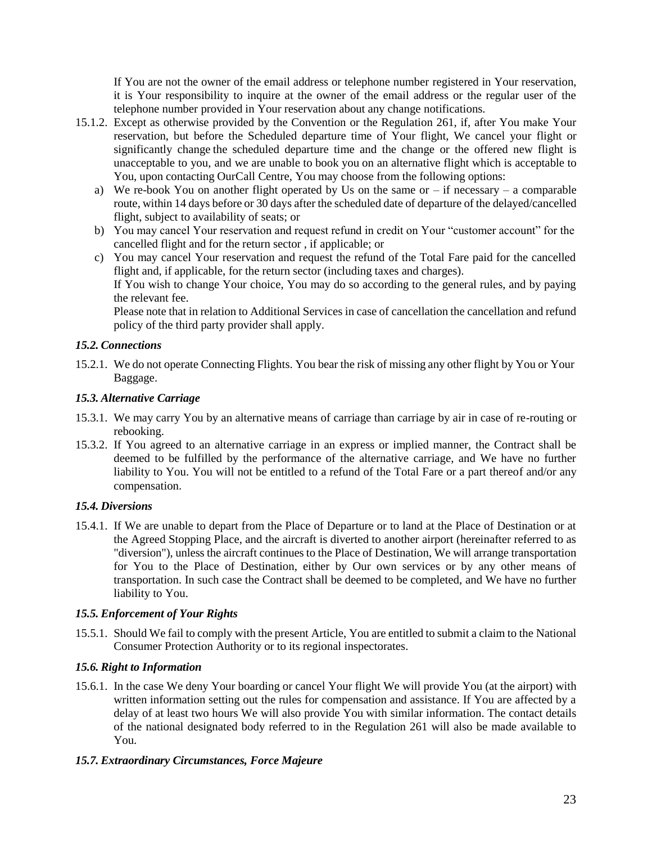If You are not the owner of the email address or telephone number registered in Your reservation, it is Your responsibility to inquire at the owner of the email address or the regular user of the telephone number provided in Your reservation about any change notifications.

- <span id="page-22-0"></span>15.1.2. Except as otherwise provided by the Convention or the Regulation 261, if, after You make Your reservation, but before the Scheduled departure time of Your flight, We cancel your flight or significantly change the scheduled departure time and the change or the offered new flight is unacceptable to you, and we are unable to book you on an alternative flight which is acceptable to You, upon contacting OurCall Centre, You may choose from the following options:
	- a) We re-book You on another flight operated by Us on the same or  $-$  if necessary  $-$  a comparable route, within 14 days before or 30 days after the scheduled date of departure of the delayed/cancelled flight, subject to availability of seats; or
	- b) You may cancel Your reservation and request refund in credit on Your "customer account" for the cancelled flight and for the return sector , if applicable; or
	- c) You may cancel Your reservation and request the refund of the Total Fare paid for the cancelled flight and, if applicable, for the return sector (including taxes and charges).

If You wish to change Your choice, You may do so according to the general rules, and by paying the relevant fee.

Please note that in relation to Additional Services in case of cancellation the cancellation and refund policy of the third party provider shall apply.

# *15.2. Connections*

15.2.1. We do not operate Connecting Flights. You bear the risk of missing any other flight by You or Your Baggage.

### *15.3. Alternative Carriage*

- 15.3.1. We may carry You by an alternative means of carriage than carriage by air in case of re-routing or rebooking.
- 15.3.2. If You agreed to an alternative carriage in an express or implied manner, the Contract shall be deemed to be fulfilled by the performance of the alternative carriage, and We have no further liability to You. You will not be entitled to a refund of the Total Fare or a part thereof and/or any compensation.

### *15.4. Diversions*

15.4.1. If We are unable to depart from the Place of Departure or to land at the Place of Destination or at the Agreed Stopping Place, and the aircraft is diverted to another airport (hereinafter referred to as "diversion"), unless the aircraft continues to the Place of Destination, We will arrange transportation for You to the Place of Destination, either by Our own services or by any other means of transportation. In such case the Contract shall be deemed to be completed, and We have no further liability to You.

### *15.5. Enforcement of Your Rights*

15.5.1. Should We fail to comply with the present Article, You are entitled to submit a claim to the National Consumer Protection Authority or to its regional inspectorates.

### *15.6. Right to Information*

15.6.1. In the case We deny Your boarding or cancel Your flight We will provide You (at the airport) with written information setting out the rules for compensation and assistance. If You are affected by a delay of at least two hours We will also provide You with similar information. The contact details of the national designated body referred to in the Regulation 261 will also be made available to You.

### *15.7. Extraordinary Circumstances, Force Majeure*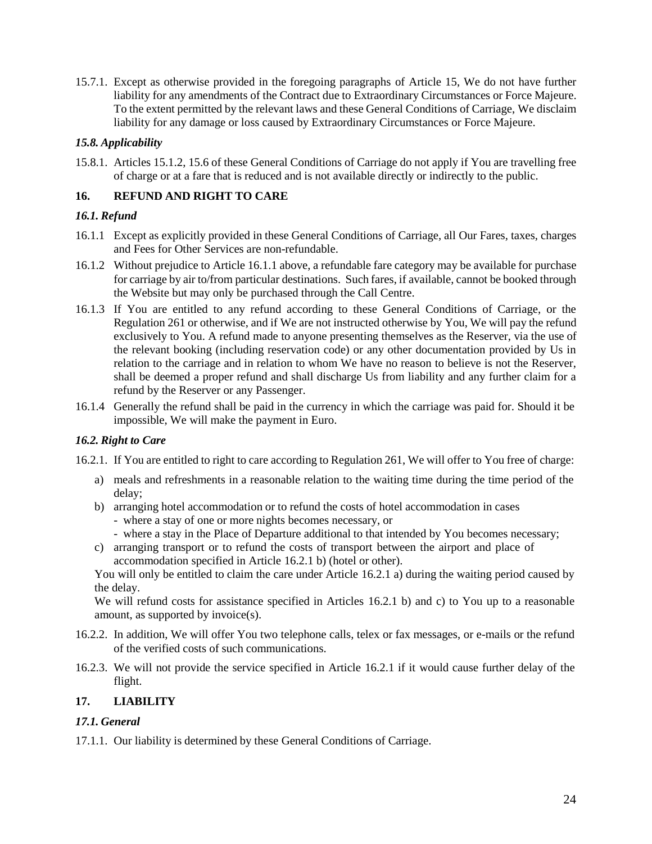15.7.1. Except as otherwise provided in the foregoing paragraphs of Article [15,](#page-21-0) We do not have further liability for any amendments of the Contract due to Extraordinary Circumstances or Force Majeure. To the extent permitted by the relevant laws and these General Conditions of Carriage, We disclaim liability for any damage or loss caused by Extraordinary Circumstances or Force Majeure.

# *15.8. Applicability*

15.8.1. Articles [15.1.2,](#page-22-0) [15.6](#page-22-0) of these General Conditions of Carriage do not apply if You are travelling free of charge or at a fare that is reduced and is not available directly or indirectly to the public.

# <span id="page-23-0"></span>**16. REFUND AND RIGHT TO CARE**

# *16.1. Refund*

- <span id="page-23-2"></span>16.1.1 Except as explicitly provided in these General Conditions of Carriage, all Our Fares, taxes, charges and Fees for Other Services are non-refundable.
- 16.1.2 Without prejudice to Article [16.1.1](#page-23-2) above, a refundable fare category may be available for purchase for carriage by air to/from particular destinations. Such fares, if available, cannot be booked through the Website but may only be purchased through the Call Centre.
- 16.1.3 If You are entitled to any refund according to these General Conditions of Carriage, or the Regulation 261 or otherwise, and if We are not instructed otherwise by You, We will pay the refund exclusively to You. A refund made to anyone presenting themselves as the Reserver, via the use of the relevant booking (including reservation code) or any other documentation provided by Us in relation to the carriage and in relation to whom We have no reason to believe is not the Reserver, shall be deemed a proper refund and shall discharge Us from liability and any further claim for a refund by the Reserver or any Passenger.
- 16.1.4 Generally the refund shall be paid in the currency in which the carriage was paid for. Should it be impossible, We will make the payment in Euro.

# *16.2. Right to Care*

<span id="page-23-3"></span>16.2.1. If You are entitled to right to care according to Regulation 261, We will offer to You free of charge:

- a) meals and refreshments in a reasonable relation to the waiting time during the time period of the delay;
- b) arranging hotel accommodation or to refund the costs of hotel accommodation in cases
	- where a stay of one or more nights becomes necessary, or
	- where a stay in the Place of Departure additional to that intended by You becomes necessary;
- c) arranging transport or to refund the costs of transport between the airport and place of accommodation specified in Article [16.2.1](#page-23-3) b) (hotel or other).

You will only be entitled to claim the care under Article [16.2.1](#page-23-3) a) during the waiting period caused by the delay.

We will refund costs for assistance specified in Articles [16.2.1](#page-23-3) b) and c) to You up to a reasonable amount, as supported by invoice(s).

- 16.2.2. In addition, We will offer You two telephone calls, telex or fax messages, or e-mails or the refund of the verified costs of such communications.
- 16.2.3. We will not provide the service specified in Article [16.2.1](#page-23-3) if it would cause further delay of the flight.

# <span id="page-23-1"></span>**17. LIABILITY**

# *17.1. General*

17.1.1. Our liability is determined by these General Conditions of Carriage.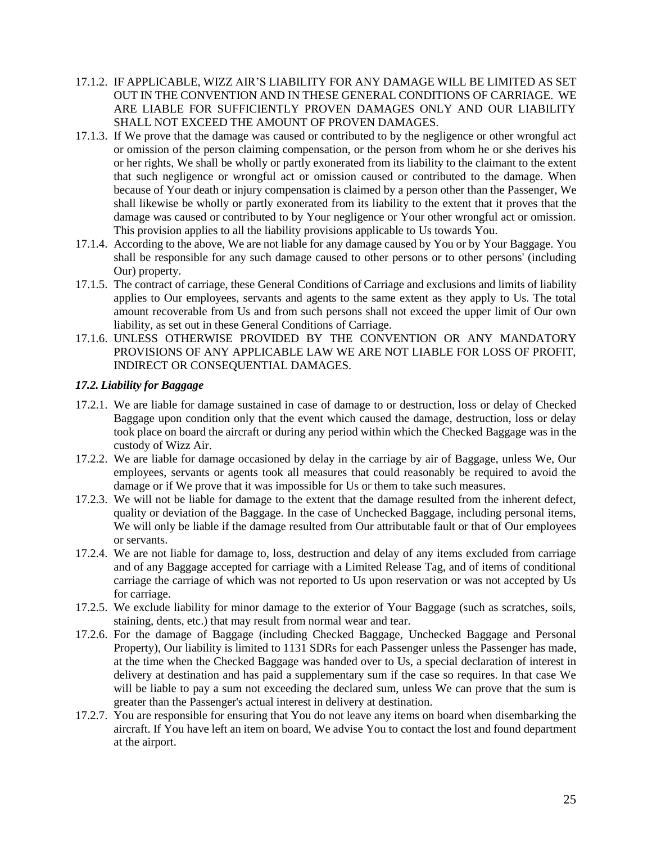- 17.1.2. IF APPLICABLE, WIZZ AIR'S LIABILITY FOR ANY DAMAGE WILL BE LIMITED AS SET OUT IN THE CONVENTION AND IN THESE GENERAL CONDITIONS OF CARRIAGE. WE ARE LIABLE FOR SUFFICIENTLY PROVEN DAMAGES ONLY AND OUR LIABILITY SHALL NOT EXCEED THE AMOUNT OF PROVEN DAMAGES.
- <span id="page-24-0"></span>17.1.3. If We prove that the damage was caused or contributed to by the negligence or other wrongful act or omission of the person claiming compensation, or the person from whom he or she derives his or her rights, We shall be wholly or partly exonerated from its liability to the claimant to the extent that such negligence or wrongful act or omission caused or contributed to the damage. When because of Your death or injury compensation is claimed by a person other than the Passenger, We shall likewise be wholly or partly exonerated from its liability to the extent that it proves that the damage was caused or contributed to by Your negligence or Your other wrongful act or omission. This provision applies to all the liability provisions applicable to Us towards You.
- 17.1.4. According to the above, We are not liable for any damage caused by You or by Your Baggage. You shall be responsible for any such damage caused to other persons or to other persons' (including Our) property.
- 17.1.5. The contract of carriage, these General Conditions of Carriage and exclusions and limits of liability applies to Our employees, servants and agents to the same extent as they apply to Us. The total amount recoverable from Us and from such persons shall not exceed the upper limit of Our own liability, as set out in these General Conditions of Carriage.
- 17.1.6. UNLESS OTHERWISE PROVIDED BY THE CONVENTION OR ANY MANDATORY PROVISIONS OF ANY APPLICABLE LAW WE ARE NOT LIABLE FOR LOSS OF PROFIT, INDIRECT OR CONSEQUENTIAL DAMAGES.

### *17.2. Liability for Baggage*

- 17.2.1. We are liable for damage sustained in case of damage to or destruction, loss or delay of Checked Baggage upon condition only that the event which caused the damage, destruction, loss or delay took place on board the aircraft or during any period within which the Checked Baggage was in the custody of Wizz Air.
- 17.2.2. We are liable for damage occasioned by delay in the carriage by air of Baggage, unless We, Our employees, servants or agents took all measures that could reasonably be required to avoid the damage or if We prove that it was impossible for Us or them to take such measures.
- 17.2.3. We will not be liable for damage to the extent that the damage resulted from the inherent defect, quality or deviation of the Baggage. In the case of Unchecked Baggage, including personal items, We will only be liable if the damage resulted from Our attributable fault or that of Our employees or servants.
- 17.2.4. We are not liable for damage to, loss, destruction and delay of any items excluded from carriage and of any Baggage accepted for carriage with a Limited Release Tag, and of items of conditional carriage the carriage of which was not reported to Us upon reservation or was not accepted by Us for carriage.
- 17.2.5. We exclude liability for minor damage to the exterior of Your Baggage (such as scratches, soils, staining, dents, etc.) that may result from normal wear and tear.
- 17.2.6. For the damage of Baggage (including Checked Baggage, Unchecked Baggage and Personal Property), Our liability is limited to 1131 SDRs for each Passenger unless the Passenger has made, at the time when the Checked Baggage was handed over to Us, a special declaration of interest in delivery at destination and has paid a supplementary sum if the case so requires. In that case We will be liable to pay a sum not exceeding the declared sum, unless We can prove that the sum is greater than the Passenger's actual interest in delivery at destination.
- 17.2.7. You are responsible for ensuring that You do not leave any items on board when disembarking the aircraft. If You have left an item on board, We advise You to contact the lost and found department at the airport.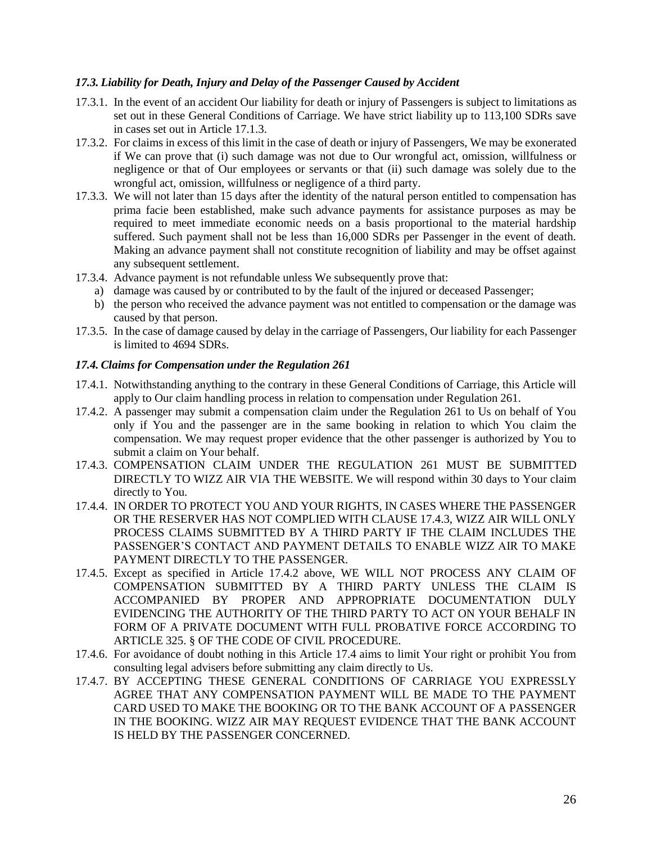### *17.3. Liability for Death, Injury and Delay of the Passenger Caused by Accident*

- 17.3.1. In the event of an accident Our liability for death or injury of Passengers is subject to limitations as set out in these General Conditions of Carriage. We have strict liability up to 113,100 SDRs save in cases set out in Article [17.1.3.](#page-24-0)
- 17.3.2. For claims in excess of this limit in the case of death or injury of Passengers, We may be exonerated if We can prove that (i) such damage was not due to Our wrongful act, omission, willfulness or negligence or that of Our employees or servants or that (ii) such damage was solely due to the wrongful act, omission, willfulness or negligence of a third party.
- 17.3.3. We will not later than 15 days after the identity of the natural person entitled to compensation has prima facie been established, make such advance payments for assistance purposes as may be required to meet immediate economic needs on a basis proportional to the material hardship suffered. Such payment shall not be less than 16,000 SDRs per Passenger in the event of death. Making an advance payment shall not constitute recognition of liability and may be offset against any subsequent settlement.
- 17.3.4. Advance payment is not refundable unless We subsequently prove that:
	- a) damage was caused by or contributed to by the fault of the injured or deceased Passenger;
	- b) the person who received the advance payment was not entitled to compensation or the damage was caused by that person.
- 17.3.5. In the case of damage caused by delay in the carriage of Passengers, Our liability for each Passenger is limited to 4694 SDRs.

#### <span id="page-25-1"></span>*17.4. Claims for Compensation under the Regulation 261*

- 17.4.1. Notwithstanding anything to the contrary in these General Conditions of Carriage, this Article will apply to Our claim handling process in relation to compensation under Regulation 261.
- <span id="page-25-0"></span>17.4.2. A passenger may submit a compensation claim under the Regulation 261 to Us on behalf of You only if You and the passenger are in the same booking in relation to which You claim the compensation. We may request proper evidence that the other passenger is authorized by You to submit a claim on Your behalf.
- 17.4.3. COMPENSATION CLAIM UNDER THE REGULATION 261 MUST BE SUBMITTED DIRECTLY TO WIZZ AIR VIA THE WEBSITE. We will respond within 30 days to Your claim directly to You.
- 17.4.4. IN ORDER TO PROTECT YOU AND YOUR RIGHTS, IN CASES WHERE THE PASSENGER OR THE RESERVER HAS NOT COMPLIED WITH CLAUSE 17.4.3, WIZZ AIR WILL ONLY PROCESS CLAIMS SUBMITTED BY A THIRD PARTY IF THE CLAIM INCLUDES THE PASSENGER'S CONTACT AND PAYMENT DETAILS TO ENABLE WIZZ AIR TO MAKE PAYMENT DIRECTLY TO THE PASSENGER.
- 17.4.5. Except as specified in Article [17.4.2](#page-25-0) above, WE WILL NOT PROCESS ANY CLAIM OF COMPENSATION SUBMITTED BY A THIRD PARTY UNLESS THE CLAIM IS ACCOMPANIED BY PROPER AND APPROPRIATE DOCUMENTATION DULY EVIDENCING THE AUTHORITY OF THE THIRD PARTY TO ACT ON YOUR BEHALF IN FORM OF A PRIVATE DOCUMENT WITH FULL PROBATIVE FORCE ACCORDING TO ARTICLE 325. § OF THE CODE OF CIVIL PROCEDURE.
- 17.4.6. For avoidance of doubt nothing in this Article [17.4 a](#page-25-1)ims to limit Your right or prohibit You from consulting legal advisers before submitting any claim directly to Us.
- 17.4.7. BY ACCEPTING THESE GENERAL CONDITIONS OF CARRIAGE YOU EXPRESSLY AGREE THAT ANY COMPENSATION PAYMENT WILL BE MADE TO THE PAYMENT CARD USED TO MAKE THE BOOKING OR TO THE BANK ACCOUNT OF A PASSENGER IN THE BOOKING. WIZZ AIR MAY REQUEST EVIDENCE THAT THE BANK ACCOUNT IS HELD BY THE PASSENGER CONCERNED.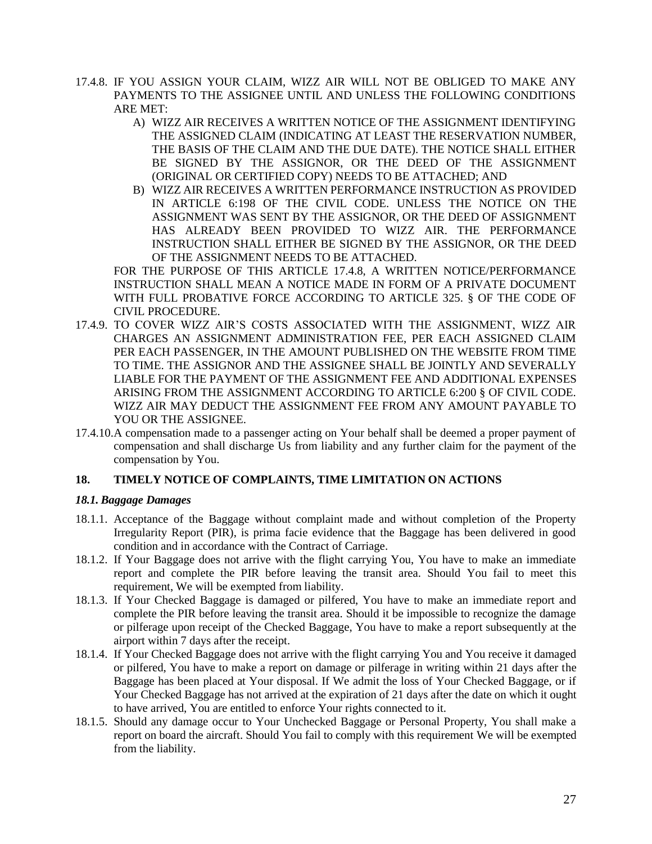- 17.4.8. IF YOU ASSIGN YOUR CLAIM, WIZZ AIR WILL NOT BE OBLIGED TO MAKE ANY PAYMENTS TO THE ASSIGNEE UNTIL AND UNLESS THE FOLLOWING CONDITIONS ARE MET:
	- A) WIZZ AIR RECEIVES A WRITTEN NOTICE OF THE ASSIGNMENT IDENTIFYING THE ASSIGNED CLAIM (INDICATING AT LEAST THE RESERVATION NUMBER, THE BASIS OF THE CLAIM AND THE DUE DATE). THE NOTICE SHALL EITHER BE SIGNED BY THE ASSIGNOR, OR THE DEED OF THE ASSIGNMENT (ORIGINAL OR CERTIFIED COPY) NEEDS TO BE ATTACHED; AND
	- B) WIZZ AIR RECEIVES A WRITTEN PERFORMANCE INSTRUCTION AS PROVIDED IN ARTICLE 6:198 OF THE CIVIL CODE. UNLESS THE NOTICE ON THE ASSIGNMENT WAS SENT BY THE ASSIGNOR, OR THE DEED OF ASSIGNMENT HAS ALREADY BEEN PROVIDED TO WIZZ AIR. THE PERFORMANCE INSTRUCTION SHALL EITHER BE SIGNED BY THE ASSIGNOR, OR THE DEED OF THE ASSIGNMENT NEEDS TO BE ATTACHED.

FOR THE PURPOSE OF THIS ARTICLE 17.4.8, A WRITTEN NOTICE/PERFORMANCE INSTRUCTION SHALL MEAN A NOTICE MADE IN FORM OF A PRIVATE DOCUMENT WITH FULL PROBATIVE FORCE ACCORDING TO ARTICLE 325. § OF THE CODE OF CIVIL PROCEDURE.

- 17.4.9. TO COVER WIZZ AIR'S COSTS ASSOCIATED WITH THE ASSIGNMENT, WIZZ AIR CHARGES AN ASSIGNMENT ADMINISTRATION FEE, PER EACH ASSIGNED CLAIM PER EACH PASSENGER, IN THE AMOUNT PUBLISHED ON THE WEBSITE FROM TIME TO TIME. THE ASSIGNOR AND THE ASSIGNEE SHALL BE JOINTLY AND SEVERALLY LIABLE FOR THE PAYMENT OF THE ASSIGNMENT FEE AND ADDITIONAL EXPENSES ARISING FROM THE ASSIGNMENT ACCORDING TO ARTICLE 6:200 § OF CIVIL CODE. WIZZ AIR MAY DEDUCT THE ASSIGNMENT FEE FROM ANY AMOUNT PAYABLE TO YOU OR THE ASSIGNEE.
- 17.4.10.A compensation made to a passenger acting on Your behalf shall be deemed a proper payment of compensation and shall discharge Us from liability and any further claim for the payment of the compensation by You.

### <span id="page-26-0"></span>**18. TIMELY NOTICE OF COMPLAINTS, TIME LIMITATION ON ACTIONS**

# *18.1. Baggage Damages*

- 18.1.1. Acceptance of the Baggage without complaint made and without completion of the Property Irregularity Report (PIR), is prima facie evidence that the Baggage has been delivered in good condition and in accordance with the Contract of Carriage.
- 18.1.2. If Your Baggage does not arrive with the flight carrying You, You have to make an immediate report and complete the PIR before leaving the transit area. Should You fail to meet this requirement, We will be exempted from liability.
- 18.1.3. If Your Checked Baggage is damaged or pilfered, You have to make an immediate report and complete the PIR before leaving the transit area. Should it be impossible to recognize the damage or pilferage upon receipt of the Checked Baggage, You have to make a report subsequently at the airport within 7 days after the receipt.
- 18.1.4. If Your Checked Baggage does not arrive with the flight carrying You and You receive it damaged or pilfered, You have to make a report on damage or pilferage in writing within 21 days after the Baggage has been placed at Your disposal. If We admit the loss of Your Checked Baggage, or if Your Checked Baggage has not arrived at the expiration of 21 days after the date on which it ought to have arrived, You are entitled to enforce Your rights connected to it.
- 18.1.5. Should any damage occur to Your Unchecked Baggage or Personal Property, You shall make a report on board the aircraft. Should You fail to comply with this requirement We will be exempted from the liability.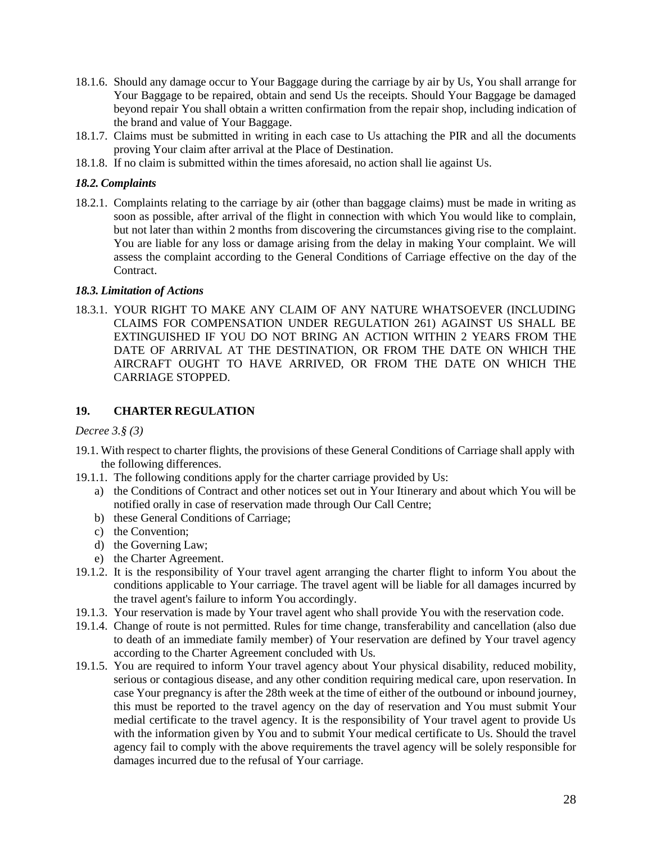- 18.1.6. Should any damage occur to Your Baggage during the carriage by air by Us, You shall arrange for Your Baggage to be repaired, obtain and send Us the receipts. Should Your Baggage be damaged beyond repair You shall obtain a written confirmation from the repair shop, including indication of the brand and value of Your Baggage.
- 18.1.7. Claims must be submitted in writing in each case to Us attaching the PIR and all the documents proving Your claim after arrival at the Place of Destination.
- 18.1.8. If no claim is submitted within the times aforesaid, no action shall lie against Us.

### *18.2. Complaints*

18.2.1. Complaints relating to the carriage by air (other than baggage claims) must be made in writing as soon as possible, after arrival of the flight in connection with which You would like to complain, but not later than within 2 months from discovering the circumstances giving rise to the complaint. You are liable for any loss or damage arising from the delay in making Your complaint. We will assess the complaint according to the General Conditions of Carriage effective on the day of the Contract.

### *18.3. Limitation of Actions*

18.3.1. YOUR RIGHT TO MAKE ANY CLAIM OF ANY NATURE WHATSOEVER (INCLUDING CLAIMS FOR COMPENSATION UNDER REGULATION 261) AGAINST US SHALL BE EXTINGUISHED IF YOU DO NOT BRING AN ACTION WITHIN 2 YEARS FROM THE DATE OF ARRIVAL AT THE DESTINATION, OR FROM THE DATE ON WHICH THE AIRCRAFT OUGHT TO HAVE ARRIVED, OR FROM THE DATE ON WHICH THE CARRIAGE STOPPED.

# <span id="page-27-0"></span>**19. CHARTER REGULATION**

*Decree 3.§ (3)*

- 19.1. With respect to charter flights, the provisions of these General Conditions of Carriage shall apply with the following differences.
- 19.1.1. The following conditions apply for the charter carriage provided by Us:
	- a) the Conditions of Contract and other notices set out in Your Itinerary and about which You will be notified orally in case of reservation made through Our Call Centre;
	- b) these General Conditions of Carriage;
	- c) the Convention;
	- d) the Governing Law;
	- e) the Charter Agreement.
- 19.1.2. It is the responsibility of Your travel agent arranging the charter flight to inform You about the conditions applicable to Your carriage. The travel agent will be liable for all damages incurred by the travel agent's failure to inform You accordingly.
- 19.1.3. Your reservation is made by Your travel agent who shall provide You with the reservation code.
- 19.1.4. Change of route is not permitted. Rules for time change, transferability and cancellation (also due to death of an immediate family member) of Your reservation are defined by Your travel agency according to the Charter Agreement concluded with Us.
- 19.1.5. You are required to inform Your travel agency about Your physical disability, reduced mobility, serious or contagious disease, and any other condition requiring medical care, upon reservation. In case Your pregnancy is after the 28th week at the time of either of the outbound or inbound journey, this must be reported to the travel agency on the day of reservation and You must submit Your medial certificate to the travel agency. It is the responsibility of Your travel agent to provide Us with the information given by You and to submit Your medical certificate to Us. Should the travel agency fail to comply with the above requirements the travel agency will be solely responsible for damages incurred due to the refusal of Your carriage.